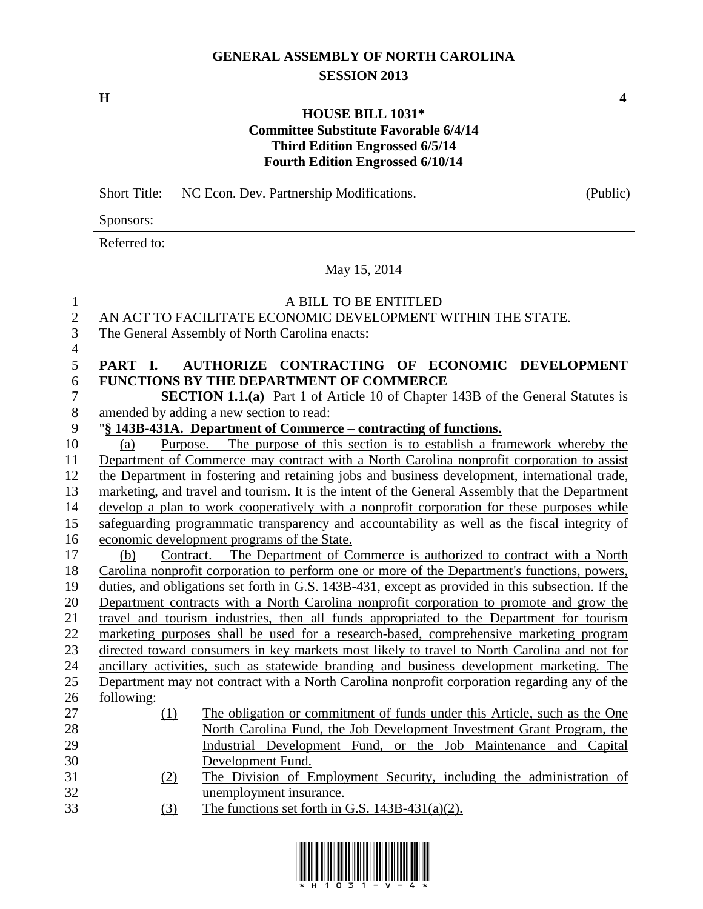# **GENERAL ASSEMBLY OF NORTH CAROLINA SESSION 2013**

**H 4**

## **HOUSE BILL 1031\* Committee Substitute Favorable 6/4/14 Third Edition Engrossed 6/5/14 Fourth Edition Engrossed 6/10/14**

Short Title: NC Econ. Dev. Partnership Modifications. (Public) Sponsors: Referred to: May 15, 2014 A BILL TO BE ENTITLED AN ACT TO FACILITATE ECONOMIC DEVELOPMENT WITHIN THE STATE. The General Assembly of North Carolina enacts: **PART I. AUTHORIZE CONTRACTING OF ECONOMIC DEVELOPMENT FUNCTIONS BY THE DEPARTMENT OF COMMERCE SECTION 1.1.(a)** Part 1 of Article 10 of Chapter 143B of the General Statutes is amended by adding a new section to read: amended by adding a new section to read: "**§ 143B-431A. Department of Commerce – contracting of functions.** (a) Purpose. – The purpose of this section is to establish a framework whereby the Department of Commerce may contract with a North Carolina nonprofit corporation to assist the Department in fostering and retaining jobs and business development, international trade, marketing, and travel and tourism. It is the intent of the General Assembly that the Department develop a plan to work cooperatively with a nonprofit corporation for these purposes while safeguarding programmatic transparency and accountability as well as the fiscal integrity of economic development programs of the State. (b) Contract. – The Department of Commerce is authorized to contract with a North Carolina nonprofit corporation to perform one or more of the Department's functions, powers, duties, and obligations set forth in G.S. 143B-431, except as provided in this subsection. If the Department contracts with a North Carolina nonprofit corporation to promote and grow the travel and tourism industries, then all funds appropriated to the Department for tourism marketing purposes shall be used for a research-based, comprehensive marketing program directed toward consumers in key markets most likely to travel to North Carolina and not for ancillary activities, such as statewide branding and business development marketing. The Department may not contract with a North Carolina nonprofit corporation regarding any of the following: (1) The obligation or commitment of funds under this Article, such as the One North Carolina Fund, the Job Development Investment Grant Program, the Industrial Development Fund, or the Job Maintenance and Capital Development Fund. (2) The Division of Employment Security, including the administration of unemployment insurance.

(3) The functions set forth in G.S. 143B-431(a)(2).

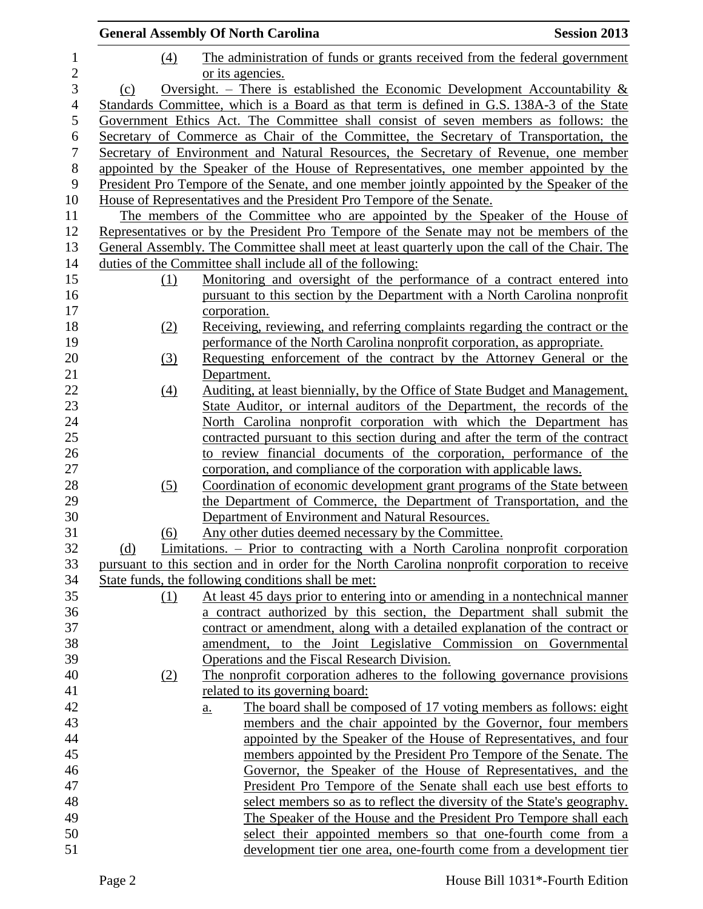|                |                            | <b>General Assembly Of North Carolina</b>                                                                                                                                        | <b>Session 2013</b> |
|----------------|----------------------------|----------------------------------------------------------------------------------------------------------------------------------------------------------------------------------|---------------------|
| $\mathbf{1}$   | (4)                        | The administration of funds or grants received from the federal government                                                                                                       |                     |
| $\mathbf{2}$   |                            | or its agencies.                                                                                                                                                                 |                     |
| 3              | (c)                        | Oversight. – There is established the Economic Development Accountability $\&$                                                                                                   |                     |
| $\overline{4}$ |                            | Standards Committee, which is a Board as that term is defined in G.S. 138A-3 of the State                                                                                        |                     |
| $\mathfrak s$  |                            | Government Ethics Act. The Committee shall consist of seven members as follows: the                                                                                              |                     |
| 6              |                            | Secretary of Commerce as Chair of the Committee, the Secretary of Transportation, the                                                                                            |                     |
| $\overline{7}$ |                            | Secretary of Environment and Natural Resources, the Secretary of Revenue, one member                                                                                             |                     |
| $\, 8$         |                            | appointed by the Speaker of the House of Representatives, one member appointed by the                                                                                            |                     |
| 9              |                            | President Pro Tempore of the Senate, and one member jointly appointed by the Speaker of the                                                                                      |                     |
| 10             |                            | House of Representatives and the President Pro Tempore of the Senate.                                                                                                            |                     |
| 11             |                            | The members of the Committee who are appointed by the Speaker of the House of                                                                                                    |                     |
| 12             |                            | Representatives or by the President Pro Tempore of the Senate may not be members of the                                                                                          |                     |
| 13             |                            | General Assembly. The Committee shall meet at least quarterly upon the call of the Chair. The                                                                                    |                     |
| 14             |                            | duties of the Committee shall include all of the following:                                                                                                                      |                     |
| 15             | (1)                        | Monitoring and oversight of the performance of a contract entered into                                                                                                           |                     |
| 16             |                            | pursuant to this section by the Department with a North Carolina nonprofit                                                                                                       |                     |
| 17             |                            | corporation.                                                                                                                                                                     |                     |
| 18             | (2)                        | Receiving, reviewing, and referring complaints regarding the contract or the                                                                                                     |                     |
| 19             |                            | performance of the North Carolina nonprofit corporation, as appropriate.                                                                                                         |                     |
| 20             | $\underline{\textbf{(3)}}$ | Requesting enforcement of the contract by the Attorney General or the                                                                                                            |                     |
| 21             |                            | Department.                                                                                                                                                                      |                     |
| 22             | $\left(4\right)$           | Auditing, at least biennially, by the Office of State Budget and Management,                                                                                                     |                     |
| 23             |                            | State Auditor, or internal auditors of the Department, the records of the                                                                                                        |                     |
| 24             |                            | North Carolina nonprofit corporation with which the Department has                                                                                                               |                     |
| 25             |                            | contracted pursuant to this section during and after the term of the contract                                                                                                    |                     |
| 26             |                            | to review financial documents of the corporation, performance of the                                                                                                             |                     |
| 27             |                            | corporation, and compliance of the corporation with applicable laws.                                                                                                             |                     |
| 28             | (5)                        | Coordination of economic development grant programs of the State between                                                                                                         |                     |
| 29             |                            | the Department of Commerce, the Department of Transportation, and the                                                                                                            |                     |
| 30<br>31       |                            | Department of Environment and Natural Resources.                                                                                                                                 |                     |
|                | (6)                        | Any other duties deemed necessary by the Committee.                                                                                                                              |                     |
| 32<br>33       | (d)                        | Limitations. – Prior to contracting with a North Carolina nonprofit corporation<br>pursuant to this section and in order for the North Carolina nonprofit corporation to receive |                     |
| 34             |                            | State funds, the following conditions shall be met:                                                                                                                              |                     |
| 35             | (1)                        | At least 45 days prior to entering into or amending in a nontechnical manner                                                                                                     |                     |
| 36             |                            | a contract authorized by this section, the Department shall submit the                                                                                                           |                     |
| 37             |                            | contract or amendment, along with a detailed explanation of the contract or                                                                                                      |                     |
| 38             |                            | amendment, to the Joint Legislative Commission on Governmental                                                                                                                   |                     |
| 39             |                            | Operations and the Fiscal Research Division.                                                                                                                                     |                     |
| 40             | (2)                        | The nonprofit corporation adheres to the following governance provisions                                                                                                         |                     |
| 41             |                            | related to its governing board:                                                                                                                                                  |                     |
| 42             |                            | The board shall be composed of 17 voting members as follows: eight<br>$a_{\cdot}$                                                                                                |                     |
| 43             |                            | members and the chair appointed by the Governor, four members                                                                                                                    |                     |
| 44             |                            | appointed by the Speaker of the House of Representatives, and four                                                                                                               |                     |
| 45             |                            | members appointed by the President Pro Tempore of the Senate. The                                                                                                                |                     |
| 46             |                            | Governor, the Speaker of the House of Representatives, and the                                                                                                                   |                     |
| 47             |                            | President Pro Tempore of the Senate shall each use best efforts to                                                                                                               |                     |
| 48             |                            | select members so as to reflect the diversity of the State's geography.                                                                                                          |                     |
| 49             |                            | The Speaker of the House and the President Pro Tempore shall each                                                                                                                |                     |
| 50             |                            | select their appointed members so that one-fourth come from a                                                                                                                    |                     |
| 51             |                            | development tier one area, one-fourth come from a development tier                                                                                                               |                     |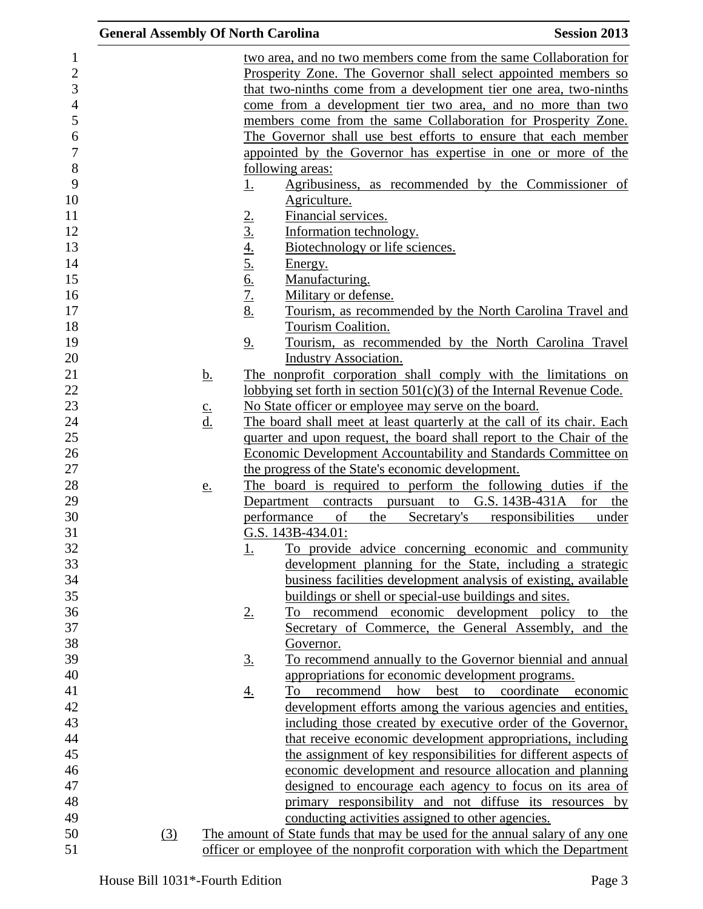| <b>General Assembly Of North Carolina</b> |                            |                |                                                                             | <b>Session 2013</b>       |
|-------------------------------------------|----------------------------|----------------|-----------------------------------------------------------------------------|---------------------------|
|                                           |                            |                | two area, and no two members come from the same Collaboration for           |                           |
|                                           |                            |                | Prosperity Zone. The Governor shall select appointed members so             |                           |
|                                           |                            |                | that two-ninths come from a development tier one area, two-ninths           |                           |
|                                           |                            |                | come from a development tier two area, and no more than two                 |                           |
|                                           |                            |                | members come from the same Collaboration for Prosperity Zone.               |                           |
|                                           |                            |                | The Governor shall use best efforts to ensure that each member              |                           |
|                                           |                            |                | appointed by the Governor has expertise in one or more of the               |                           |
|                                           |                            |                | following areas:                                                            |                           |
|                                           |                            | <u>1.</u>      | Agribusiness, as recommended by the Commissioner of                         |                           |
|                                           |                            |                | Agriculture.                                                                |                           |
|                                           |                            |                | Financial services.                                                         |                           |
|                                           |                            | 2.3.4.5.6.7.8  | Information technology.                                                     |                           |
|                                           |                            |                | Biotechnology or life sciences.                                             |                           |
|                                           |                            |                | Energy.                                                                     |                           |
|                                           |                            |                |                                                                             |                           |
|                                           |                            |                | Manufacturing.                                                              |                           |
|                                           |                            |                | Military or defense.                                                        |                           |
|                                           |                            |                | Tourism, as recommended by the North Carolina Travel and                    |                           |
|                                           |                            |                | Tourism Coalition.                                                          |                           |
|                                           |                            | 9 <sub>1</sub> | Tourism, as recommended by the North Carolina Travel                        |                           |
|                                           |                            |                | <b>Industry Association.</b>                                                |                           |
|                                           | <u>b.</u>                  |                | The nonprofit corporation shall comply with the limitations on              |                           |
|                                           |                            |                | lobbying set forth in section $501(c)(3)$ of the Internal Revenue Code.     |                           |
|                                           | $\underline{c}$ .          |                | No State officer or employee may serve on the board.                        |                           |
|                                           | $\underline{\mathrm{d}}$ . |                | The board shall meet at least quarterly at the call of its chair. Each      |                           |
|                                           |                            |                | quarter and upon request, the board shall report to the Chair of the        |                           |
|                                           |                            |                | <b>Economic Development Accountability and Standards Committee on</b>       |                           |
|                                           |                            |                | the progress of the State's economic development.                           |                           |
|                                           | <u>e.</u>                  |                | The board is required to perform the following duties if the                |                           |
|                                           |                            |                | Department contracts pursuant to G.S. 143B-431A for                         | the                       |
|                                           |                            |                | performance<br>the<br>Secretary's<br>of                                     | responsibilities<br>under |
|                                           |                            |                | G.S. 143B-434.01:                                                           |                           |
|                                           |                            | <u>1.</u>      | To provide advice concerning economic and community                         |                           |
|                                           |                            |                | development planning for the State, including a strategic                   |                           |
|                                           |                            |                | business facilities development analysis of existing, available             |                           |
|                                           |                            |                | buildings or shell or special-use buildings and sites.                      |                           |
|                                           |                            | $2_{\cdot}$    | To recommend economic development policy                                    | the<br>to                 |
|                                           |                            |                | Secretary of Commerce, the General Assembly, and the                        |                           |
|                                           |                            |                | Governor.                                                                   |                           |
|                                           |                            | <u>3.</u>      | To recommend annually to the Governor biennial and annual                   |                           |
|                                           |                            |                | appropriations for economic development programs.                           |                           |
|                                           |                            | <u>4.</u>      | how<br>best to coordinate<br>To<br>recommend                                | economic                  |
|                                           |                            |                | development efforts among the various agencies and entities,                |                           |
|                                           |                            |                | including those created by executive order of the Governor,                 |                           |
|                                           |                            |                | that receive economic development appropriations, including                 |                           |
|                                           |                            |                | the assignment of key responsibilities for different aspects of             |                           |
|                                           |                            |                | economic development and resource allocation and planning                   |                           |
|                                           |                            |                | designed to encourage each agency to focus on its area of                   |                           |
|                                           |                            |                | primary responsibility and not diffuse its resources by                     |                           |
|                                           |                            |                | conducting activities assigned to other agencies.                           |                           |
| (3)                                       |                            |                | The amount of State funds that may be used for the annual salary of any one |                           |
|                                           |                            |                | officer or employee of the nonprofit corporation with which the Department  |                           |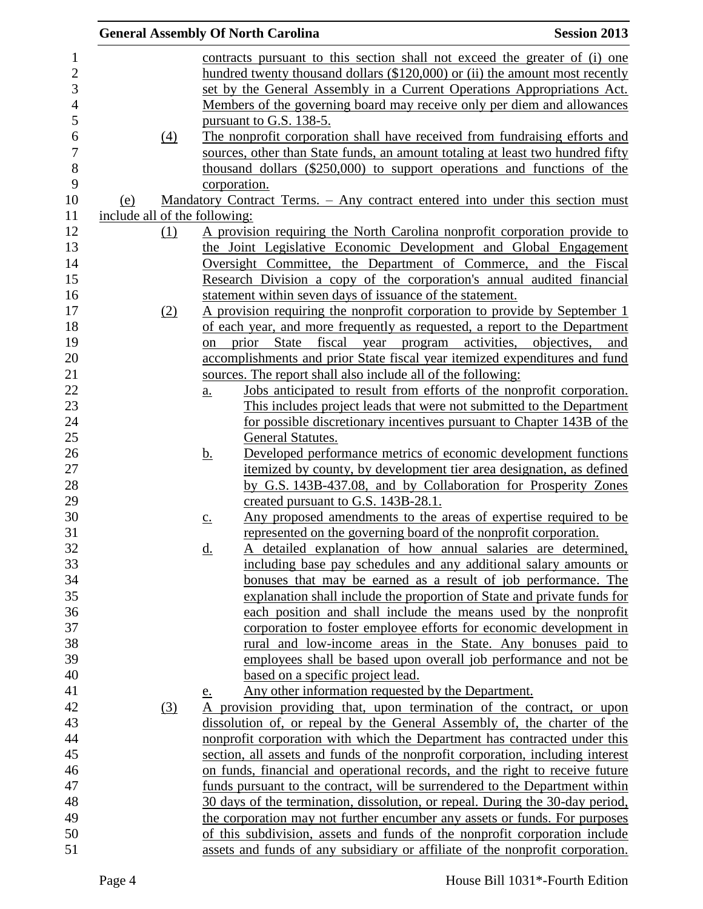|                               |                   | <b>General Assembly Of North Carolina</b>                                      | <b>Session 2013</b> |
|-------------------------------|-------------------|--------------------------------------------------------------------------------|---------------------|
|                               |                   | contracts pursuant to this section shall not exceed the greater of (i) one     |                     |
|                               |                   | hundred twenty thousand dollars (\$120,000) or (ii) the amount most recently   |                     |
|                               |                   | set by the General Assembly in a Current Operations Appropriations Act.        |                     |
|                               |                   | Members of the governing board may receive only per diem and allowances        |                     |
|                               |                   | pursuant to G.S. 138-5.                                                        |                     |
| $\left(4\right)$              |                   | The nonprofit corporation shall have received from fundraising efforts and     |                     |
|                               |                   | sources, other than State funds, an amount totaling at least two hundred fifty |                     |
|                               |                   | thousand dollars (\$250,000) to support operations and functions of the        |                     |
|                               |                   | corporation.                                                                   |                     |
| (e)                           |                   | Mandatory Contract Terms. - Any contract entered into under this section must  |                     |
| include all of the following: |                   |                                                                                |                     |
| (1)                           |                   | A provision requiring the North Carolina nonprofit corporation provide to      |                     |
|                               |                   | the Joint Legislative Economic Development and Global Engagement               |                     |
|                               |                   | Oversight Committee, the Department of Commerce, and the Fiscal                |                     |
|                               |                   | Research Division a copy of the corporation's annual audited financial         |                     |
|                               |                   | statement within seven days of issuance of the statement.                      |                     |
| (2)                           |                   | A provision requiring the nonprofit corporation to provide by September 1      |                     |
|                               |                   | of each year, and more frequently as requested, a report to the Department     |                     |
|                               | on                | State fiscal year program activities,<br>prior                                 | objectives.<br>and  |
|                               |                   | accomplishments and prior State fiscal year itemized expenditures and fund     |                     |
|                               |                   | sources. The report shall also include all of the following:                   |                     |
|                               | a.                | Jobs anticipated to result from efforts of the nonprofit corporation.          |                     |
|                               |                   | This includes project leads that were not submitted to the Department          |                     |
|                               |                   | for possible discretionary incentives pursuant to Chapter 143B of the          |                     |
|                               |                   | General Statutes.                                                              |                     |
|                               | <u>b.</u>         | Developed performance metrics of economic development functions                |                     |
|                               |                   | itemized by county, by development tier area designation, as defined           |                     |
|                               |                   | by G.S. 143B-437.08, and by Collaboration for Prosperity Zones                 |                     |
|                               |                   | created pursuant to G.S. 143B-28.1.                                            |                     |
|                               | $\underline{c}$ . | Any proposed amendments to the areas of expertise required to be               |                     |
|                               |                   | represented on the governing board of the nonprofit corporation.               |                     |
|                               | <u>d.</u>         | A detailed explanation of how annual salaries are determined,                  |                     |
|                               |                   | including base pay schedules and any additional salary amounts or              |                     |
|                               |                   | bonuses that may be earned as a result of job performance. The                 |                     |
|                               |                   | explanation shall include the proportion of State and private funds for        |                     |
|                               |                   | each position and shall include the means used by the nonprofit                |                     |
|                               |                   | corporation to foster employee efforts for economic development in             |                     |
|                               |                   | rural and low-income areas in the State. Any bonuses paid to                   |                     |
|                               |                   | employees shall be based upon overall job performance and not be               |                     |
|                               |                   | based on a specific project lead.                                              |                     |
|                               | <u>e.</u>         | Any other information requested by the Department.                             |                     |
| (3)                           |                   | provision providing that, upon termination of the contract, or upon            |                     |
|                               |                   | dissolution of, or repeal by the General Assembly of, the charter of the       |                     |
|                               |                   | nonprofit corporation with which the Department has contracted under this      |                     |
|                               |                   | section, all assets and funds of the nonprofit corporation, including interest |                     |
|                               |                   | on funds, financial and operational records, and the right to receive future   |                     |
|                               |                   | funds pursuant to the contract, will be surrendered to the Department within   |                     |
|                               |                   | 30 days of the termination, dissolution, or repeal. During the 30-day period,  |                     |
|                               |                   | the corporation may not further encumber any assets or funds. For purposes     |                     |
|                               |                   | of this subdivision, assets and funds of the nonprofit corporation include     |                     |
|                               |                   | assets and funds of any subsidiary or affiliate of the nonprofit corporation.  |                     |
|                               |                   |                                                                                |                     |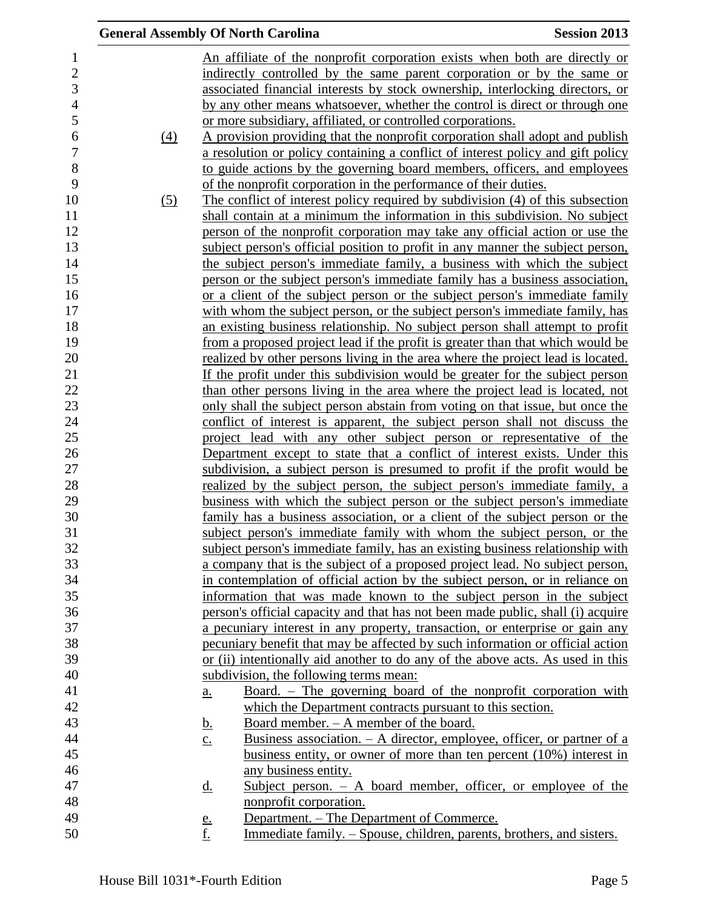|          | <b>General Assembly Of North Carolina</b>                                                     | <b>Session 2013</b> |
|----------|-----------------------------------------------------------------------------------------------|---------------------|
|          | An affiliate of the nonprofit corporation exists when both are directly or                    |                     |
|          | indirectly controlled by the same parent corporation or by the same or                        |                     |
|          | associated financial interests by stock ownership, interlocking directors, or                 |                     |
|          | by any other means whatsoever, whether the control is direct or through one                   |                     |
|          | or more subsidiary, affiliated, or controlled corporations.                                   |                     |
| $\Delta$ | A provision providing that the nonprofit corporation shall adopt and publish                  |                     |
|          | a resolution or policy containing a conflict of interest policy and gift policy               |                     |
|          | to guide actions by the governing board members, officers, and employees                      |                     |
|          | of the nonprofit corporation in the performance of their duties.                              |                     |
| (5)      | The conflict of interest policy required by subdivision (4) of this subsection                |                     |
|          | shall contain at a minimum the information in this subdivision. No subject                    |                     |
|          | person of the nonprofit corporation may take any official action or use the                   |                     |
|          | subject person's official position to profit in any manner the subject person,                |                     |
|          | the subject person's immediate family, a business with which the subject                      |                     |
|          | person or the subject person's immediate family has a business association,                   |                     |
|          | or a client of the subject person or the subject person's immediate family                    |                     |
|          | with whom the subject person, or the subject person's immediate family, has                   |                     |
|          | an existing business relationship. No subject person shall attempt to profit                  |                     |
|          | from a proposed project lead if the profit is greater than that which would be                |                     |
|          | realized by other persons living in the area where the project lead is located.               |                     |
|          | If the profit under this subdivision would be greater for the subject person                  |                     |
|          | than other persons living in the area where the project lead is located, not                  |                     |
|          | only shall the subject person abstain from voting on that issue, but once the                 |                     |
|          | conflict of interest is apparent, the subject person shall not discuss the                    |                     |
|          | project lead with any other subject person or representative of the                           |                     |
|          | Department except to state that a conflict of interest exists. Under this                     |                     |
|          | subdivision, a subject person is presumed to profit if the profit would be                    |                     |
|          | realized by the subject person, the subject person's immediate family, a                      |                     |
|          | business with which the subject person or the subject person's immediate                      |                     |
|          | family has a business association, or a client of the subject person or the                   |                     |
|          | subject person's immediate family with whom the subject person, or the                        |                     |
|          | subject person's immediate family, has an existing business relationship with                 |                     |
|          | a company that is the subject of a proposed project lead. No subject person,                  |                     |
|          | in contemplation of official action by the subject person, or in reliance on                  |                     |
|          | information that was made known to the subject person in the subject                          |                     |
|          | person's official capacity and that has not been made public, shall (i) acquire               |                     |
|          | a pecuniary interest in any property, transaction, or enterprise or gain any                  |                     |
|          | pecuniary benefit that may be affected by such information or official action                 |                     |
|          | or (ii) intentionally aid another to do any of the above acts. As used in this                |                     |
|          | subdivision, the following terms mean:                                                        |                     |
|          | Board. - The governing board of the nonprofit corporation with<br>a.                          |                     |
|          | which the Department contracts pursuant to this section.                                      |                     |
|          | <u>Board member. – A member of the board.</u><br><u>b.</u>                                    |                     |
|          | Business association. $- A$ director, employee, officer, or partner of a<br>$\underline{c}$ . |                     |
|          | business entity, or owner of more than ten percent $(10\%)$ interest in                       |                     |
|          | any business entity.                                                                          |                     |
|          | Subject person. $-$ A board member, officer, or employee of the<br><u>d.</u>                  |                     |
|          | nonprofit corporation.                                                                        |                     |
|          | Department. – The Department of Commerce.<br><u>e.</u>                                        |                     |
|          | f.<br>Immediate family. – Spouse, children, parents, brothers, and sisters.                   |                     |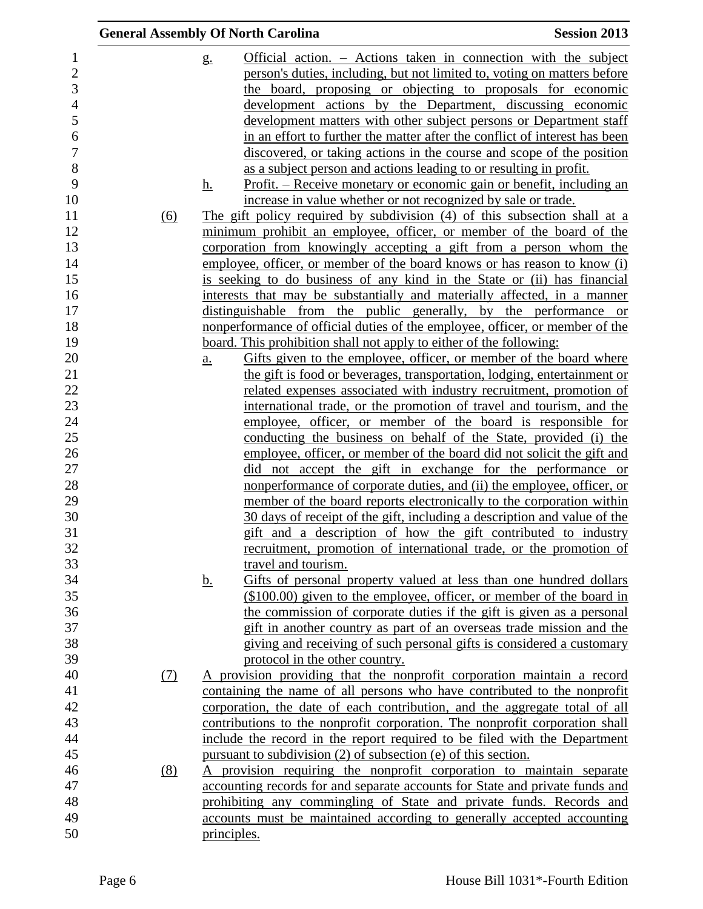| Official action. – Actions taken in connection with the subject<br>$\mathbf{1}$<br>$g_{\cdot}$<br>$\overline{2}$<br>person's duties, including, but not limited to, voting on matters before<br>3<br>the board, proposing or objecting to proposals for economic<br>$\overline{4}$<br>development actions by the Department, discussing economic<br>5<br>development matters with other subject persons or Department staff<br>6<br>in an effort to further the matter after the conflict of interest has been<br>$\overline{7}$<br>discovered, or taking actions in the course and scope of the position<br>$8\,$<br>as a subject person and actions leading to or resulting in profit.<br>9<br>Profit. – Receive monetary or economic gain or benefit, including an<br><u>h.</u><br>increase in value whether or not recognized by sale or trade.<br>The gift policy required by subdivision (4) of this subsection shall at a<br>$\underline{(6)}$<br>minimum prohibit an employee, officer, or member of the board of the<br>corporation from knowingly accepting a gift from a person whom the<br>employee, officer, or member of the board knows or has reason to know (i)<br>is seeking to do business of any kind in the State or (ii) has financial<br>interests that may be substantially and materially affected, in a manner<br>distinguishable from the public generally, by the performance or<br>nonperformance of official duties of the employee, officer, or member of the<br>board. This prohibition shall not apply to either of the following:<br>Gifts given to the employee, officer, or member of the board where<br>a.<br>the gift is food or beverages, transportation, lodging, entertainment or<br>related expenses associated with industry recruitment, promotion of<br>international trade, or the promotion of travel and tourism, and the<br>employee, officer, or member of the board is responsible for<br>conducting the business on behalf of the State, provided (i) the<br>26<br>employee, officer, or member of the board did not solicit the gift and<br>27<br>did not accept the gift in exchange for the performance or<br>28<br>nonperformance of corporate duties, and (ii) the employee, officer, or<br>29<br>member of the board reports electronically to the corporation within<br>30<br>30 days of receipt of the gift, including a description and value of the<br>31<br>gift and a description of how the gift contributed to industry<br>32<br>recruitment, promotion of international trade, or the promotion of<br>33<br>travel and tourism.<br>34<br>Gifts of personal property valued at less than one hundred dollars<br><u>b.</u><br>35<br>$($100.00)$ given to the employee, officer, or member of the board in<br>36<br>the commission of corporate duties if the gift is given as a personal<br>37<br>gift in another country as part of an overseas trade mission and the<br>38<br>giving and receiving of such personal gifts is considered a customary<br>39<br>protocol in the other country.<br>40<br>A provision providing that the nonprofit corporation maintain a record<br>(7)<br>41<br>containing the name of all persons who have contributed to the nonprofit<br>42<br>corporation, the date of each contribution, and the aggregate total of all<br>43<br>contributions to the nonprofit corporation. The nonprofit corporation shall<br>44<br>include the record in the report required to be filed with the Department<br>45<br>pursuant to subdivision (2) of subsection (e) of this section.<br>46<br>A provision requiring the nonprofit corporation to maintain separate<br>(8)<br>accounting records for and separate accounts for State and private funds and<br>prohibiting any commingling of State and private funds. Records and<br>accounts must be maintained according to generally accepted accounting |    | <b>General Assembly Of North Carolina</b> | <b>Session 2013</b> |
|----------------------------------------------------------------------------------------------------------------------------------------------------------------------------------------------------------------------------------------------------------------------------------------------------------------------------------------------------------------------------------------------------------------------------------------------------------------------------------------------------------------------------------------------------------------------------------------------------------------------------------------------------------------------------------------------------------------------------------------------------------------------------------------------------------------------------------------------------------------------------------------------------------------------------------------------------------------------------------------------------------------------------------------------------------------------------------------------------------------------------------------------------------------------------------------------------------------------------------------------------------------------------------------------------------------------------------------------------------------------------------------------------------------------------------------------------------------------------------------------------------------------------------------------------------------------------------------------------------------------------------------------------------------------------------------------------------------------------------------------------------------------------------------------------------------------------------------------------------------------------------------------------------------------------------------------------------------------------------------------------------------------------------------------------------------------------------------------------------------------------------------------------------------------------------------------------------------------------------------------------------------------------------------------------------------------------------------------------------------------------------------------------------------------------------------------------------------------------------------------------------------------------------------------------------------------------------------------------------------------------------------------------------------------------------------------------------------------------------------------------------------------------------------------------------------------------------------------------------------------------------------------------------------------------------------------------------------------------------------------------------------------------------------------------------------------------------------------------------------------------------------------------------------------------------------------------------------------------------------------------------------------------------------------------------------------------------------------------------------------------------------------------------------------------------------------------------------------------------------------------------------------------------------------------------------------------------------------------------------------------------------------------------------------------------------------------------------------------------------------------------------------------------------------------------------------------------------------------------------------------------------------------|----|-------------------------------------------|---------------------|
|                                                                                                                                                                                                                                                                                                                                                                                                                                                                                                                                                                                                                                                                                                                                                                                                                                                                                                                                                                                                                                                                                                                                                                                                                                                                                                                                                                                                                                                                                                                                                                                                                                                                                                                                                                                                                                                                                                                                                                                                                                                                                                                                                                                                                                                                                                                                                                                                                                                                                                                                                                                                                                                                                                                                                                                                                                                                                                                                                                                                                                                                                                                                                                                                                                                                                                                                                                                                                                                                                                                                                                                                                                                                                                                                                                                                                                                                                                    |    |                                           |                     |
|                                                                                                                                                                                                                                                                                                                                                                                                                                                                                                                                                                                                                                                                                                                                                                                                                                                                                                                                                                                                                                                                                                                                                                                                                                                                                                                                                                                                                                                                                                                                                                                                                                                                                                                                                                                                                                                                                                                                                                                                                                                                                                                                                                                                                                                                                                                                                                                                                                                                                                                                                                                                                                                                                                                                                                                                                                                                                                                                                                                                                                                                                                                                                                                                                                                                                                                                                                                                                                                                                                                                                                                                                                                                                                                                                                                                                                                                                                    |    |                                           |                     |
|                                                                                                                                                                                                                                                                                                                                                                                                                                                                                                                                                                                                                                                                                                                                                                                                                                                                                                                                                                                                                                                                                                                                                                                                                                                                                                                                                                                                                                                                                                                                                                                                                                                                                                                                                                                                                                                                                                                                                                                                                                                                                                                                                                                                                                                                                                                                                                                                                                                                                                                                                                                                                                                                                                                                                                                                                                                                                                                                                                                                                                                                                                                                                                                                                                                                                                                                                                                                                                                                                                                                                                                                                                                                                                                                                                                                                                                                                                    |    |                                           |                     |
|                                                                                                                                                                                                                                                                                                                                                                                                                                                                                                                                                                                                                                                                                                                                                                                                                                                                                                                                                                                                                                                                                                                                                                                                                                                                                                                                                                                                                                                                                                                                                                                                                                                                                                                                                                                                                                                                                                                                                                                                                                                                                                                                                                                                                                                                                                                                                                                                                                                                                                                                                                                                                                                                                                                                                                                                                                                                                                                                                                                                                                                                                                                                                                                                                                                                                                                                                                                                                                                                                                                                                                                                                                                                                                                                                                                                                                                                                                    |    |                                           |                     |
|                                                                                                                                                                                                                                                                                                                                                                                                                                                                                                                                                                                                                                                                                                                                                                                                                                                                                                                                                                                                                                                                                                                                                                                                                                                                                                                                                                                                                                                                                                                                                                                                                                                                                                                                                                                                                                                                                                                                                                                                                                                                                                                                                                                                                                                                                                                                                                                                                                                                                                                                                                                                                                                                                                                                                                                                                                                                                                                                                                                                                                                                                                                                                                                                                                                                                                                                                                                                                                                                                                                                                                                                                                                                                                                                                                                                                                                                                                    |    |                                           |                     |
|                                                                                                                                                                                                                                                                                                                                                                                                                                                                                                                                                                                                                                                                                                                                                                                                                                                                                                                                                                                                                                                                                                                                                                                                                                                                                                                                                                                                                                                                                                                                                                                                                                                                                                                                                                                                                                                                                                                                                                                                                                                                                                                                                                                                                                                                                                                                                                                                                                                                                                                                                                                                                                                                                                                                                                                                                                                                                                                                                                                                                                                                                                                                                                                                                                                                                                                                                                                                                                                                                                                                                                                                                                                                                                                                                                                                                                                                                                    |    |                                           |                     |
|                                                                                                                                                                                                                                                                                                                                                                                                                                                                                                                                                                                                                                                                                                                                                                                                                                                                                                                                                                                                                                                                                                                                                                                                                                                                                                                                                                                                                                                                                                                                                                                                                                                                                                                                                                                                                                                                                                                                                                                                                                                                                                                                                                                                                                                                                                                                                                                                                                                                                                                                                                                                                                                                                                                                                                                                                                                                                                                                                                                                                                                                                                                                                                                                                                                                                                                                                                                                                                                                                                                                                                                                                                                                                                                                                                                                                                                                                                    |    |                                           |                     |
|                                                                                                                                                                                                                                                                                                                                                                                                                                                                                                                                                                                                                                                                                                                                                                                                                                                                                                                                                                                                                                                                                                                                                                                                                                                                                                                                                                                                                                                                                                                                                                                                                                                                                                                                                                                                                                                                                                                                                                                                                                                                                                                                                                                                                                                                                                                                                                                                                                                                                                                                                                                                                                                                                                                                                                                                                                                                                                                                                                                                                                                                                                                                                                                                                                                                                                                                                                                                                                                                                                                                                                                                                                                                                                                                                                                                                                                                                                    |    |                                           |                     |
|                                                                                                                                                                                                                                                                                                                                                                                                                                                                                                                                                                                                                                                                                                                                                                                                                                                                                                                                                                                                                                                                                                                                                                                                                                                                                                                                                                                                                                                                                                                                                                                                                                                                                                                                                                                                                                                                                                                                                                                                                                                                                                                                                                                                                                                                                                                                                                                                                                                                                                                                                                                                                                                                                                                                                                                                                                                                                                                                                                                                                                                                                                                                                                                                                                                                                                                                                                                                                                                                                                                                                                                                                                                                                                                                                                                                                                                                                                    |    |                                           |                     |
|                                                                                                                                                                                                                                                                                                                                                                                                                                                                                                                                                                                                                                                                                                                                                                                                                                                                                                                                                                                                                                                                                                                                                                                                                                                                                                                                                                                                                                                                                                                                                                                                                                                                                                                                                                                                                                                                                                                                                                                                                                                                                                                                                                                                                                                                                                                                                                                                                                                                                                                                                                                                                                                                                                                                                                                                                                                                                                                                                                                                                                                                                                                                                                                                                                                                                                                                                                                                                                                                                                                                                                                                                                                                                                                                                                                                                                                                                                    | 10 |                                           |                     |
|                                                                                                                                                                                                                                                                                                                                                                                                                                                                                                                                                                                                                                                                                                                                                                                                                                                                                                                                                                                                                                                                                                                                                                                                                                                                                                                                                                                                                                                                                                                                                                                                                                                                                                                                                                                                                                                                                                                                                                                                                                                                                                                                                                                                                                                                                                                                                                                                                                                                                                                                                                                                                                                                                                                                                                                                                                                                                                                                                                                                                                                                                                                                                                                                                                                                                                                                                                                                                                                                                                                                                                                                                                                                                                                                                                                                                                                                                                    | 11 |                                           |                     |
|                                                                                                                                                                                                                                                                                                                                                                                                                                                                                                                                                                                                                                                                                                                                                                                                                                                                                                                                                                                                                                                                                                                                                                                                                                                                                                                                                                                                                                                                                                                                                                                                                                                                                                                                                                                                                                                                                                                                                                                                                                                                                                                                                                                                                                                                                                                                                                                                                                                                                                                                                                                                                                                                                                                                                                                                                                                                                                                                                                                                                                                                                                                                                                                                                                                                                                                                                                                                                                                                                                                                                                                                                                                                                                                                                                                                                                                                                                    | 12 |                                           |                     |
|                                                                                                                                                                                                                                                                                                                                                                                                                                                                                                                                                                                                                                                                                                                                                                                                                                                                                                                                                                                                                                                                                                                                                                                                                                                                                                                                                                                                                                                                                                                                                                                                                                                                                                                                                                                                                                                                                                                                                                                                                                                                                                                                                                                                                                                                                                                                                                                                                                                                                                                                                                                                                                                                                                                                                                                                                                                                                                                                                                                                                                                                                                                                                                                                                                                                                                                                                                                                                                                                                                                                                                                                                                                                                                                                                                                                                                                                                                    | 13 |                                           |                     |
|                                                                                                                                                                                                                                                                                                                                                                                                                                                                                                                                                                                                                                                                                                                                                                                                                                                                                                                                                                                                                                                                                                                                                                                                                                                                                                                                                                                                                                                                                                                                                                                                                                                                                                                                                                                                                                                                                                                                                                                                                                                                                                                                                                                                                                                                                                                                                                                                                                                                                                                                                                                                                                                                                                                                                                                                                                                                                                                                                                                                                                                                                                                                                                                                                                                                                                                                                                                                                                                                                                                                                                                                                                                                                                                                                                                                                                                                                                    | 14 |                                           |                     |
|                                                                                                                                                                                                                                                                                                                                                                                                                                                                                                                                                                                                                                                                                                                                                                                                                                                                                                                                                                                                                                                                                                                                                                                                                                                                                                                                                                                                                                                                                                                                                                                                                                                                                                                                                                                                                                                                                                                                                                                                                                                                                                                                                                                                                                                                                                                                                                                                                                                                                                                                                                                                                                                                                                                                                                                                                                                                                                                                                                                                                                                                                                                                                                                                                                                                                                                                                                                                                                                                                                                                                                                                                                                                                                                                                                                                                                                                                                    | 15 |                                           |                     |
|                                                                                                                                                                                                                                                                                                                                                                                                                                                                                                                                                                                                                                                                                                                                                                                                                                                                                                                                                                                                                                                                                                                                                                                                                                                                                                                                                                                                                                                                                                                                                                                                                                                                                                                                                                                                                                                                                                                                                                                                                                                                                                                                                                                                                                                                                                                                                                                                                                                                                                                                                                                                                                                                                                                                                                                                                                                                                                                                                                                                                                                                                                                                                                                                                                                                                                                                                                                                                                                                                                                                                                                                                                                                                                                                                                                                                                                                                                    | 16 |                                           |                     |
|                                                                                                                                                                                                                                                                                                                                                                                                                                                                                                                                                                                                                                                                                                                                                                                                                                                                                                                                                                                                                                                                                                                                                                                                                                                                                                                                                                                                                                                                                                                                                                                                                                                                                                                                                                                                                                                                                                                                                                                                                                                                                                                                                                                                                                                                                                                                                                                                                                                                                                                                                                                                                                                                                                                                                                                                                                                                                                                                                                                                                                                                                                                                                                                                                                                                                                                                                                                                                                                                                                                                                                                                                                                                                                                                                                                                                                                                                                    | 17 |                                           |                     |
|                                                                                                                                                                                                                                                                                                                                                                                                                                                                                                                                                                                                                                                                                                                                                                                                                                                                                                                                                                                                                                                                                                                                                                                                                                                                                                                                                                                                                                                                                                                                                                                                                                                                                                                                                                                                                                                                                                                                                                                                                                                                                                                                                                                                                                                                                                                                                                                                                                                                                                                                                                                                                                                                                                                                                                                                                                                                                                                                                                                                                                                                                                                                                                                                                                                                                                                                                                                                                                                                                                                                                                                                                                                                                                                                                                                                                                                                                                    | 18 |                                           |                     |
|                                                                                                                                                                                                                                                                                                                                                                                                                                                                                                                                                                                                                                                                                                                                                                                                                                                                                                                                                                                                                                                                                                                                                                                                                                                                                                                                                                                                                                                                                                                                                                                                                                                                                                                                                                                                                                                                                                                                                                                                                                                                                                                                                                                                                                                                                                                                                                                                                                                                                                                                                                                                                                                                                                                                                                                                                                                                                                                                                                                                                                                                                                                                                                                                                                                                                                                                                                                                                                                                                                                                                                                                                                                                                                                                                                                                                                                                                                    | 19 |                                           |                     |
|                                                                                                                                                                                                                                                                                                                                                                                                                                                                                                                                                                                                                                                                                                                                                                                                                                                                                                                                                                                                                                                                                                                                                                                                                                                                                                                                                                                                                                                                                                                                                                                                                                                                                                                                                                                                                                                                                                                                                                                                                                                                                                                                                                                                                                                                                                                                                                                                                                                                                                                                                                                                                                                                                                                                                                                                                                                                                                                                                                                                                                                                                                                                                                                                                                                                                                                                                                                                                                                                                                                                                                                                                                                                                                                                                                                                                                                                                                    | 20 |                                           |                     |
|                                                                                                                                                                                                                                                                                                                                                                                                                                                                                                                                                                                                                                                                                                                                                                                                                                                                                                                                                                                                                                                                                                                                                                                                                                                                                                                                                                                                                                                                                                                                                                                                                                                                                                                                                                                                                                                                                                                                                                                                                                                                                                                                                                                                                                                                                                                                                                                                                                                                                                                                                                                                                                                                                                                                                                                                                                                                                                                                                                                                                                                                                                                                                                                                                                                                                                                                                                                                                                                                                                                                                                                                                                                                                                                                                                                                                                                                                                    | 21 |                                           |                     |
|                                                                                                                                                                                                                                                                                                                                                                                                                                                                                                                                                                                                                                                                                                                                                                                                                                                                                                                                                                                                                                                                                                                                                                                                                                                                                                                                                                                                                                                                                                                                                                                                                                                                                                                                                                                                                                                                                                                                                                                                                                                                                                                                                                                                                                                                                                                                                                                                                                                                                                                                                                                                                                                                                                                                                                                                                                                                                                                                                                                                                                                                                                                                                                                                                                                                                                                                                                                                                                                                                                                                                                                                                                                                                                                                                                                                                                                                                                    | 22 |                                           |                     |
|                                                                                                                                                                                                                                                                                                                                                                                                                                                                                                                                                                                                                                                                                                                                                                                                                                                                                                                                                                                                                                                                                                                                                                                                                                                                                                                                                                                                                                                                                                                                                                                                                                                                                                                                                                                                                                                                                                                                                                                                                                                                                                                                                                                                                                                                                                                                                                                                                                                                                                                                                                                                                                                                                                                                                                                                                                                                                                                                                                                                                                                                                                                                                                                                                                                                                                                                                                                                                                                                                                                                                                                                                                                                                                                                                                                                                                                                                                    | 23 |                                           |                     |
|                                                                                                                                                                                                                                                                                                                                                                                                                                                                                                                                                                                                                                                                                                                                                                                                                                                                                                                                                                                                                                                                                                                                                                                                                                                                                                                                                                                                                                                                                                                                                                                                                                                                                                                                                                                                                                                                                                                                                                                                                                                                                                                                                                                                                                                                                                                                                                                                                                                                                                                                                                                                                                                                                                                                                                                                                                                                                                                                                                                                                                                                                                                                                                                                                                                                                                                                                                                                                                                                                                                                                                                                                                                                                                                                                                                                                                                                                                    | 24 |                                           |                     |
|                                                                                                                                                                                                                                                                                                                                                                                                                                                                                                                                                                                                                                                                                                                                                                                                                                                                                                                                                                                                                                                                                                                                                                                                                                                                                                                                                                                                                                                                                                                                                                                                                                                                                                                                                                                                                                                                                                                                                                                                                                                                                                                                                                                                                                                                                                                                                                                                                                                                                                                                                                                                                                                                                                                                                                                                                                                                                                                                                                                                                                                                                                                                                                                                                                                                                                                                                                                                                                                                                                                                                                                                                                                                                                                                                                                                                                                                                                    | 25 |                                           |                     |
|                                                                                                                                                                                                                                                                                                                                                                                                                                                                                                                                                                                                                                                                                                                                                                                                                                                                                                                                                                                                                                                                                                                                                                                                                                                                                                                                                                                                                                                                                                                                                                                                                                                                                                                                                                                                                                                                                                                                                                                                                                                                                                                                                                                                                                                                                                                                                                                                                                                                                                                                                                                                                                                                                                                                                                                                                                                                                                                                                                                                                                                                                                                                                                                                                                                                                                                                                                                                                                                                                                                                                                                                                                                                                                                                                                                                                                                                                                    |    |                                           |                     |
|                                                                                                                                                                                                                                                                                                                                                                                                                                                                                                                                                                                                                                                                                                                                                                                                                                                                                                                                                                                                                                                                                                                                                                                                                                                                                                                                                                                                                                                                                                                                                                                                                                                                                                                                                                                                                                                                                                                                                                                                                                                                                                                                                                                                                                                                                                                                                                                                                                                                                                                                                                                                                                                                                                                                                                                                                                                                                                                                                                                                                                                                                                                                                                                                                                                                                                                                                                                                                                                                                                                                                                                                                                                                                                                                                                                                                                                                                                    |    |                                           |                     |
|                                                                                                                                                                                                                                                                                                                                                                                                                                                                                                                                                                                                                                                                                                                                                                                                                                                                                                                                                                                                                                                                                                                                                                                                                                                                                                                                                                                                                                                                                                                                                                                                                                                                                                                                                                                                                                                                                                                                                                                                                                                                                                                                                                                                                                                                                                                                                                                                                                                                                                                                                                                                                                                                                                                                                                                                                                                                                                                                                                                                                                                                                                                                                                                                                                                                                                                                                                                                                                                                                                                                                                                                                                                                                                                                                                                                                                                                                                    |    |                                           |                     |
|                                                                                                                                                                                                                                                                                                                                                                                                                                                                                                                                                                                                                                                                                                                                                                                                                                                                                                                                                                                                                                                                                                                                                                                                                                                                                                                                                                                                                                                                                                                                                                                                                                                                                                                                                                                                                                                                                                                                                                                                                                                                                                                                                                                                                                                                                                                                                                                                                                                                                                                                                                                                                                                                                                                                                                                                                                                                                                                                                                                                                                                                                                                                                                                                                                                                                                                                                                                                                                                                                                                                                                                                                                                                                                                                                                                                                                                                                                    |    |                                           |                     |
|                                                                                                                                                                                                                                                                                                                                                                                                                                                                                                                                                                                                                                                                                                                                                                                                                                                                                                                                                                                                                                                                                                                                                                                                                                                                                                                                                                                                                                                                                                                                                                                                                                                                                                                                                                                                                                                                                                                                                                                                                                                                                                                                                                                                                                                                                                                                                                                                                                                                                                                                                                                                                                                                                                                                                                                                                                                                                                                                                                                                                                                                                                                                                                                                                                                                                                                                                                                                                                                                                                                                                                                                                                                                                                                                                                                                                                                                                                    |    |                                           |                     |
|                                                                                                                                                                                                                                                                                                                                                                                                                                                                                                                                                                                                                                                                                                                                                                                                                                                                                                                                                                                                                                                                                                                                                                                                                                                                                                                                                                                                                                                                                                                                                                                                                                                                                                                                                                                                                                                                                                                                                                                                                                                                                                                                                                                                                                                                                                                                                                                                                                                                                                                                                                                                                                                                                                                                                                                                                                                                                                                                                                                                                                                                                                                                                                                                                                                                                                                                                                                                                                                                                                                                                                                                                                                                                                                                                                                                                                                                                                    |    |                                           |                     |
|                                                                                                                                                                                                                                                                                                                                                                                                                                                                                                                                                                                                                                                                                                                                                                                                                                                                                                                                                                                                                                                                                                                                                                                                                                                                                                                                                                                                                                                                                                                                                                                                                                                                                                                                                                                                                                                                                                                                                                                                                                                                                                                                                                                                                                                                                                                                                                                                                                                                                                                                                                                                                                                                                                                                                                                                                                                                                                                                                                                                                                                                                                                                                                                                                                                                                                                                                                                                                                                                                                                                                                                                                                                                                                                                                                                                                                                                                                    |    |                                           |                     |
|                                                                                                                                                                                                                                                                                                                                                                                                                                                                                                                                                                                                                                                                                                                                                                                                                                                                                                                                                                                                                                                                                                                                                                                                                                                                                                                                                                                                                                                                                                                                                                                                                                                                                                                                                                                                                                                                                                                                                                                                                                                                                                                                                                                                                                                                                                                                                                                                                                                                                                                                                                                                                                                                                                                                                                                                                                                                                                                                                                                                                                                                                                                                                                                                                                                                                                                                                                                                                                                                                                                                                                                                                                                                                                                                                                                                                                                                                                    |    |                                           |                     |
|                                                                                                                                                                                                                                                                                                                                                                                                                                                                                                                                                                                                                                                                                                                                                                                                                                                                                                                                                                                                                                                                                                                                                                                                                                                                                                                                                                                                                                                                                                                                                                                                                                                                                                                                                                                                                                                                                                                                                                                                                                                                                                                                                                                                                                                                                                                                                                                                                                                                                                                                                                                                                                                                                                                                                                                                                                                                                                                                                                                                                                                                                                                                                                                                                                                                                                                                                                                                                                                                                                                                                                                                                                                                                                                                                                                                                                                                                                    |    |                                           |                     |
|                                                                                                                                                                                                                                                                                                                                                                                                                                                                                                                                                                                                                                                                                                                                                                                                                                                                                                                                                                                                                                                                                                                                                                                                                                                                                                                                                                                                                                                                                                                                                                                                                                                                                                                                                                                                                                                                                                                                                                                                                                                                                                                                                                                                                                                                                                                                                                                                                                                                                                                                                                                                                                                                                                                                                                                                                                                                                                                                                                                                                                                                                                                                                                                                                                                                                                                                                                                                                                                                                                                                                                                                                                                                                                                                                                                                                                                                                                    |    |                                           |                     |
|                                                                                                                                                                                                                                                                                                                                                                                                                                                                                                                                                                                                                                                                                                                                                                                                                                                                                                                                                                                                                                                                                                                                                                                                                                                                                                                                                                                                                                                                                                                                                                                                                                                                                                                                                                                                                                                                                                                                                                                                                                                                                                                                                                                                                                                                                                                                                                                                                                                                                                                                                                                                                                                                                                                                                                                                                                                                                                                                                                                                                                                                                                                                                                                                                                                                                                                                                                                                                                                                                                                                                                                                                                                                                                                                                                                                                                                                                                    |    |                                           |                     |
|                                                                                                                                                                                                                                                                                                                                                                                                                                                                                                                                                                                                                                                                                                                                                                                                                                                                                                                                                                                                                                                                                                                                                                                                                                                                                                                                                                                                                                                                                                                                                                                                                                                                                                                                                                                                                                                                                                                                                                                                                                                                                                                                                                                                                                                                                                                                                                                                                                                                                                                                                                                                                                                                                                                                                                                                                                                                                                                                                                                                                                                                                                                                                                                                                                                                                                                                                                                                                                                                                                                                                                                                                                                                                                                                                                                                                                                                                                    |    |                                           |                     |
|                                                                                                                                                                                                                                                                                                                                                                                                                                                                                                                                                                                                                                                                                                                                                                                                                                                                                                                                                                                                                                                                                                                                                                                                                                                                                                                                                                                                                                                                                                                                                                                                                                                                                                                                                                                                                                                                                                                                                                                                                                                                                                                                                                                                                                                                                                                                                                                                                                                                                                                                                                                                                                                                                                                                                                                                                                                                                                                                                                                                                                                                                                                                                                                                                                                                                                                                                                                                                                                                                                                                                                                                                                                                                                                                                                                                                                                                                                    |    |                                           |                     |
|                                                                                                                                                                                                                                                                                                                                                                                                                                                                                                                                                                                                                                                                                                                                                                                                                                                                                                                                                                                                                                                                                                                                                                                                                                                                                                                                                                                                                                                                                                                                                                                                                                                                                                                                                                                                                                                                                                                                                                                                                                                                                                                                                                                                                                                                                                                                                                                                                                                                                                                                                                                                                                                                                                                                                                                                                                                                                                                                                                                                                                                                                                                                                                                                                                                                                                                                                                                                                                                                                                                                                                                                                                                                                                                                                                                                                                                                                                    |    |                                           |                     |
|                                                                                                                                                                                                                                                                                                                                                                                                                                                                                                                                                                                                                                                                                                                                                                                                                                                                                                                                                                                                                                                                                                                                                                                                                                                                                                                                                                                                                                                                                                                                                                                                                                                                                                                                                                                                                                                                                                                                                                                                                                                                                                                                                                                                                                                                                                                                                                                                                                                                                                                                                                                                                                                                                                                                                                                                                                                                                                                                                                                                                                                                                                                                                                                                                                                                                                                                                                                                                                                                                                                                                                                                                                                                                                                                                                                                                                                                                                    |    |                                           |                     |
|                                                                                                                                                                                                                                                                                                                                                                                                                                                                                                                                                                                                                                                                                                                                                                                                                                                                                                                                                                                                                                                                                                                                                                                                                                                                                                                                                                                                                                                                                                                                                                                                                                                                                                                                                                                                                                                                                                                                                                                                                                                                                                                                                                                                                                                                                                                                                                                                                                                                                                                                                                                                                                                                                                                                                                                                                                                                                                                                                                                                                                                                                                                                                                                                                                                                                                                                                                                                                                                                                                                                                                                                                                                                                                                                                                                                                                                                                                    |    |                                           |                     |
|                                                                                                                                                                                                                                                                                                                                                                                                                                                                                                                                                                                                                                                                                                                                                                                                                                                                                                                                                                                                                                                                                                                                                                                                                                                                                                                                                                                                                                                                                                                                                                                                                                                                                                                                                                                                                                                                                                                                                                                                                                                                                                                                                                                                                                                                                                                                                                                                                                                                                                                                                                                                                                                                                                                                                                                                                                                                                                                                                                                                                                                                                                                                                                                                                                                                                                                                                                                                                                                                                                                                                                                                                                                                                                                                                                                                                                                                                                    |    |                                           |                     |
|                                                                                                                                                                                                                                                                                                                                                                                                                                                                                                                                                                                                                                                                                                                                                                                                                                                                                                                                                                                                                                                                                                                                                                                                                                                                                                                                                                                                                                                                                                                                                                                                                                                                                                                                                                                                                                                                                                                                                                                                                                                                                                                                                                                                                                                                                                                                                                                                                                                                                                                                                                                                                                                                                                                                                                                                                                                                                                                                                                                                                                                                                                                                                                                                                                                                                                                                                                                                                                                                                                                                                                                                                                                                                                                                                                                                                                                                                                    |    |                                           |                     |
|                                                                                                                                                                                                                                                                                                                                                                                                                                                                                                                                                                                                                                                                                                                                                                                                                                                                                                                                                                                                                                                                                                                                                                                                                                                                                                                                                                                                                                                                                                                                                                                                                                                                                                                                                                                                                                                                                                                                                                                                                                                                                                                                                                                                                                                                                                                                                                                                                                                                                                                                                                                                                                                                                                                                                                                                                                                                                                                                                                                                                                                                                                                                                                                                                                                                                                                                                                                                                                                                                                                                                                                                                                                                                                                                                                                                                                                                                                    |    |                                           |                     |
|                                                                                                                                                                                                                                                                                                                                                                                                                                                                                                                                                                                                                                                                                                                                                                                                                                                                                                                                                                                                                                                                                                                                                                                                                                                                                                                                                                                                                                                                                                                                                                                                                                                                                                                                                                                                                                                                                                                                                                                                                                                                                                                                                                                                                                                                                                                                                                                                                                                                                                                                                                                                                                                                                                                                                                                                                                                                                                                                                                                                                                                                                                                                                                                                                                                                                                                                                                                                                                                                                                                                                                                                                                                                                                                                                                                                                                                                                                    |    |                                           |                     |
|                                                                                                                                                                                                                                                                                                                                                                                                                                                                                                                                                                                                                                                                                                                                                                                                                                                                                                                                                                                                                                                                                                                                                                                                                                                                                                                                                                                                                                                                                                                                                                                                                                                                                                                                                                                                                                                                                                                                                                                                                                                                                                                                                                                                                                                                                                                                                                                                                                                                                                                                                                                                                                                                                                                                                                                                                                                                                                                                                                                                                                                                                                                                                                                                                                                                                                                                                                                                                                                                                                                                                                                                                                                                                                                                                                                                                                                                                                    | 47 |                                           |                     |
|                                                                                                                                                                                                                                                                                                                                                                                                                                                                                                                                                                                                                                                                                                                                                                                                                                                                                                                                                                                                                                                                                                                                                                                                                                                                                                                                                                                                                                                                                                                                                                                                                                                                                                                                                                                                                                                                                                                                                                                                                                                                                                                                                                                                                                                                                                                                                                                                                                                                                                                                                                                                                                                                                                                                                                                                                                                                                                                                                                                                                                                                                                                                                                                                                                                                                                                                                                                                                                                                                                                                                                                                                                                                                                                                                                                                                                                                                                    | 48 |                                           |                     |
|                                                                                                                                                                                                                                                                                                                                                                                                                                                                                                                                                                                                                                                                                                                                                                                                                                                                                                                                                                                                                                                                                                                                                                                                                                                                                                                                                                                                                                                                                                                                                                                                                                                                                                                                                                                                                                                                                                                                                                                                                                                                                                                                                                                                                                                                                                                                                                                                                                                                                                                                                                                                                                                                                                                                                                                                                                                                                                                                                                                                                                                                                                                                                                                                                                                                                                                                                                                                                                                                                                                                                                                                                                                                                                                                                                                                                                                                                                    | 49 |                                           |                     |
|                                                                                                                                                                                                                                                                                                                                                                                                                                                                                                                                                                                                                                                                                                                                                                                                                                                                                                                                                                                                                                                                                                                                                                                                                                                                                                                                                                                                                                                                                                                                                                                                                                                                                                                                                                                                                                                                                                                                                                                                                                                                                                                                                                                                                                                                                                                                                                                                                                                                                                                                                                                                                                                                                                                                                                                                                                                                                                                                                                                                                                                                                                                                                                                                                                                                                                                                                                                                                                                                                                                                                                                                                                                                                                                                                                                                                                                                                                    | 50 | principles.                               |                     |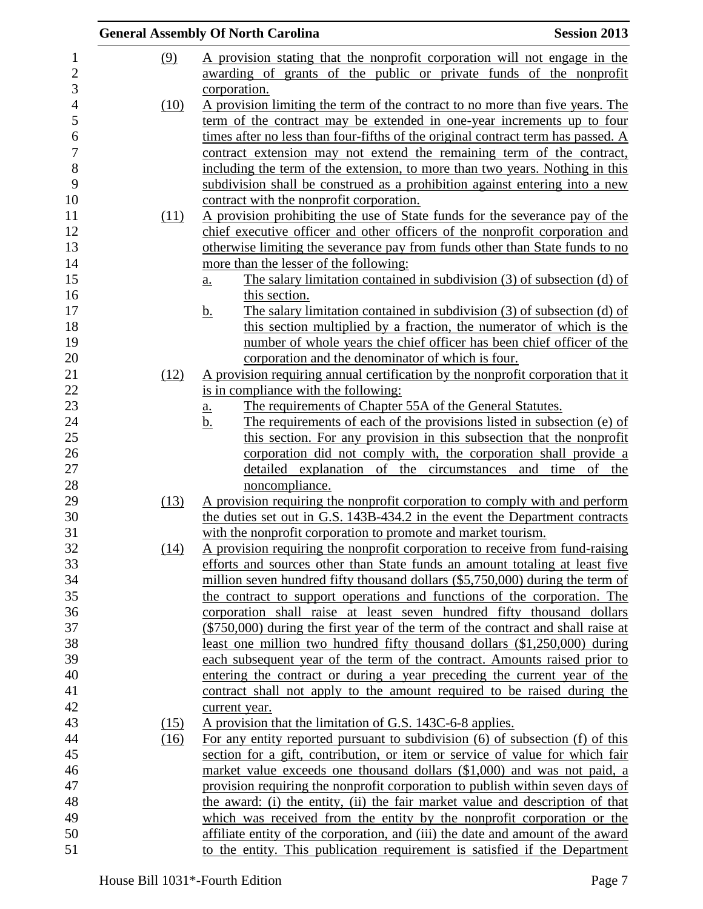|            |      | <b>General Assembly Of North Carolina</b><br><b>Session 2013</b>                     |  |
|------------|------|--------------------------------------------------------------------------------------|--|
| <u>(9)</u> |      | A provision stating that the nonprofit corporation will not engage in the            |  |
|            |      | awarding of grants of the public or private funds of the nonprofit                   |  |
|            |      | corporation.                                                                         |  |
|            | (10) | A provision limiting the term of the contract to no more than five years. The        |  |
|            |      | term of the contract may be extended in one-year increments up to four               |  |
|            |      | times after no less than four-fifths of the original contract term has passed. A     |  |
|            |      | contract extension may not extend the remaining term of the contract,                |  |
|            |      | including the term of the extension, to more than two years. Nothing in this         |  |
|            |      | subdivision shall be construed as a prohibition against entering into a new          |  |
|            |      | contract with the nonprofit corporation.                                             |  |
|            | (11) | A provision prohibiting the use of State funds for the severance pay of the          |  |
|            |      | chief executive officer and other officers of the nonprofit corporation and          |  |
|            |      | otherwise limiting the severance pay from funds other than State funds to no         |  |
|            |      | more than the lesser of the following:                                               |  |
|            |      | The salary limitation contained in subdivision $(3)$ of subsection $(d)$ of<br>a.    |  |
|            |      | this section.                                                                        |  |
|            |      | The salary limitation contained in subdivision (3) of subsection (d) of<br><u>b.</u> |  |
|            |      | this section multiplied by a fraction, the numerator of which is the                 |  |
|            |      | number of whole years the chief officer has been chief officer of the                |  |
|            |      | corporation and the denominator of which is four.                                    |  |
|            | (12) | A provision requiring annual certification by the nonprofit corporation that it      |  |
|            |      | is in compliance with the following:                                                 |  |
|            |      | The requirements of Chapter 55A of the General Statutes.<br><u>a.</u>                |  |
|            |      | The requirements of each of the provisions listed in subsection (e) of<br><u>b.</u>  |  |
|            |      | this section. For any provision in this subsection that the nonprofit                |  |
|            |      | corporation did not comply with, the corporation shall provide a                     |  |
|            |      | detailed explanation of the circumstances and time of the                            |  |
|            |      | noncompliance.                                                                       |  |
|            | (13) | A provision requiring the nonprofit corporation to comply with and perform           |  |
|            |      | the duties set out in G.S. 143B-434.2 in the event the Department contracts          |  |
|            |      | with the nonprofit corporation to promote and market tourism.                        |  |
|            | (14) | A provision requiring the nonprofit corporation to receive from fund-raising         |  |
|            |      | efforts and sources other than State funds an amount totaling at least five          |  |
|            |      | million seven hundred fifty thousand dollars (\$5,750,000) during the term of        |  |
|            |      | the contract to support operations and functions of the corporation. The             |  |
|            |      | corporation shall raise at least seven hundred fifty thousand dollars                |  |
|            |      | (\$750,000) during the first year of the term of the contract and shall raise at     |  |
|            |      | least one million two hundred fifty thousand dollars (\$1,250,000) during            |  |
|            |      | each subsequent year of the term of the contract. Amounts raised prior to            |  |
|            |      | entering the contract or during a year preceding the current year of the             |  |
|            |      | contract shall not apply to the amount required to be raised during the              |  |
|            |      | current year.                                                                        |  |
|            | (15) | A provision that the limitation of G.S. 143C-6-8 applies.                            |  |
|            | (16) | For any entity reported pursuant to subdivision (6) of subsection (f) of this        |  |
|            |      | section for a gift, contribution, or item or service of value for which fair         |  |
|            |      | market value exceeds one thousand dollars (\$1,000) and was not paid, a              |  |
|            |      | provision requiring the nonprofit corporation to publish within seven days of        |  |
|            |      | the award: (i) the entity, (ii) the fair market value and description of that        |  |
|            |      | which was received from the entity by the nonprofit corporation or the               |  |
|            |      | affiliate entity of the corporation, and (iii) the date and amount of the award      |  |
|            |      | to the entity. This publication requirement is satisfied if the Department           |  |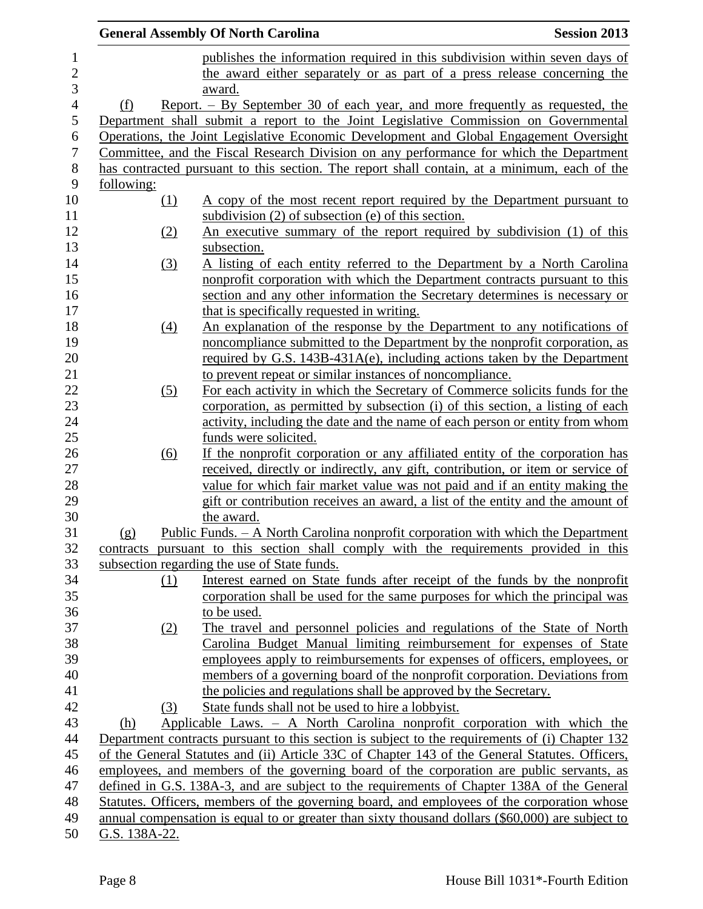|                  |               |                   | <b>General Assembly Of North Carolina</b>                                                                                                                                                         | <b>Session 2013</b> |
|------------------|---------------|-------------------|---------------------------------------------------------------------------------------------------------------------------------------------------------------------------------------------------|---------------------|
| $\mathbf{1}$     |               |                   | publishes the information required in this subdivision within seven days of                                                                                                                       |                     |
| $\overline{2}$   |               |                   | the award either separately or as part of a press release concerning the                                                                                                                          |                     |
| 3                |               |                   | award.                                                                                                                                                                                            |                     |
| $\overline{4}$   | (f)           |                   | Report. – By September 30 of each year, and more frequently as requested, the                                                                                                                     |                     |
| $\mathfrak s$    |               |                   | Department shall submit a report to the Joint Legislative Commission on Governmental                                                                                                              |                     |
| 6                |               |                   | Operations, the Joint Legislative Economic Development and Global Engagement Oversight                                                                                                            |                     |
| $\boldsymbol{7}$ |               |                   | Committee, and the Fiscal Research Division on any performance for which the Department                                                                                                           |                     |
| 8                |               |                   | has contracted pursuant to this section. The report shall contain, at a minimum, each of the                                                                                                      |                     |
| 9                | following:    |                   |                                                                                                                                                                                                   |                     |
| 10               |               | <u>(1)</u>        | A copy of the most recent report required by the Department pursuant to                                                                                                                           |                     |
| 11               |               |                   | subdivision $(2)$ of subsection $(e)$ of this section.                                                                                                                                            |                     |
| 12               |               | (2)               | <u>An executive summary of the report required by subdivision (1) of this</u>                                                                                                                     |                     |
| 13               |               |                   | subsection.                                                                                                                                                                                       |                     |
| 14               |               | (3)               | A listing of each entity referred to the Department by a North Carolina                                                                                                                           |                     |
| 15               |               |                   | nonprofit corporation with which the Department contracts pursuant to this                                                                                                                        |                     |
| 16<br>17         |               |                   | section and any other information the Secretary determines is necessary or<br>that is specifically requested in writing.                                                                          |                     |
| 18               |               | $\left(4\right)$  | An explanation of the response by the Department to any notifications of                                                                                                                          |                     |
| 19               |               |                   | noncompliance submitted to the Department by the nonprofit corporation, as                                                                                                                        |                     |
| 20               |               |                   | required by G.S. 143B-431A(e), including actions taken by the Department                                                                                                                          |                     |
| 21               |               |                   | to prevent repeat or similar instances of noncompliance.                                                                                                                                          |                     |
| 22               |               | (5)               | For each activity in which the Secretary of Commerce solicits funds for the                                                                                                                       |                     |
| 23               |               |                   | corporation, as permitted by subsection (i) of this section, a listing of each                                                                                                                    |                     |
| 24               |               |                   | activity, including the date and the name of each person or entity from whom                                                                                                                      |                     |
| 25               |               |                   | funds were solicited.                                                                                                                                                                             |                     |
| 26               |               | $\underline{(6)}$ | If the nonprofit corporation or any affiliated entity of the corporation has                                                                                                                      |                     |
| 27               |               |                   | received, directly or indirectly, any gift, contribution, or item or service of                                                                                                                   |                     |
| 28               |               |                   | value for which fair market value was not paid and if an entity making the                                                                                                                        |                     |
| 29               |               |                   | gift or contribution receives an award, a list of the entity and the amount of                                                                                                                    |                     |
| 30               |               |                   | the award.                                                                                                                                                                                        |                     |
| 31               | (g)           |                   | Public Funds. - A North Carolina nonprofit corporation with which the Department                                                                                                                  |                     |
| 32               |               |                   | contracts pursuant to this section shall comply with the requirements provided in this                                                                                                            |                     |
| 33               |               |                   | subsection regarding the use of State funds.                                                                                                                                                      |                     |
| 34               |               | (1)               | Interest earned on State funds after receipt of the funds by the nonprofit                                                                                                                        |                     |
| 35               |               |                   | corporation shall be used for the same purposes for which the principal was                                                                                                                       |                     |
| 36               |               |                   | to be used.                                                                                                                                                                                       |                     |
| 37               |               | (2)               | The travel and personnel policies and regulations of the State of North                                                                                                                           |                     |
| 38               |               |                   | Carolina Budget Manual limiting reimbursement for expenses of State                                                                                                                               |                     |
| 39               |               |                   | employees apply to reimbursements for expenses of officers, employees, or                                                                                                                         |                     |
| 40               |               |                   | members of a governing board of the nonprofit corporation. Deviations from                                                                                                                        |                     |
| 41               |               |                   | the policies and regulations shall be approved by the Secretary.                                                                                                                                  |                     |
| 42               |               | (3)               | State funds shall not be used to hire a lobbyist.                                                                                                                                                 |                     |
| 43               | (h)           |                   | Applicable Laws. - A North Carolina nonprofit corporation with which the                                                                                                                          |                     |
| 44<br>45         |               |                   | Department contracts pursuant to this section is subject to the requirements of (i) Chapter 132<br>of the General Statutes and (ii) Article 33C of Chapter 143 of the General Statutes. Officers, |                     |
| 46               |               |                   | employees, and members of the governing board of the corporation are public servants, as                                                                                                          |                     |
| 47               |               |                   | defined in G.S. 138A-3, and are subject to the requirements of Chapter 138A of the General                                                                                                        |                     |
| 48               |               |                   | Statutes. Officers, members of the governing board, and employees of the corporation whose                                                                                                        |                     |
| 49               |               |                   | annual compensation is equal to or greater than sixty thousand dollars (\$60,000) are subject to                                                                                                  |                     |
| 50               | G.S. 138A-22. |                   |                                                                                                                                                                                                   |                     |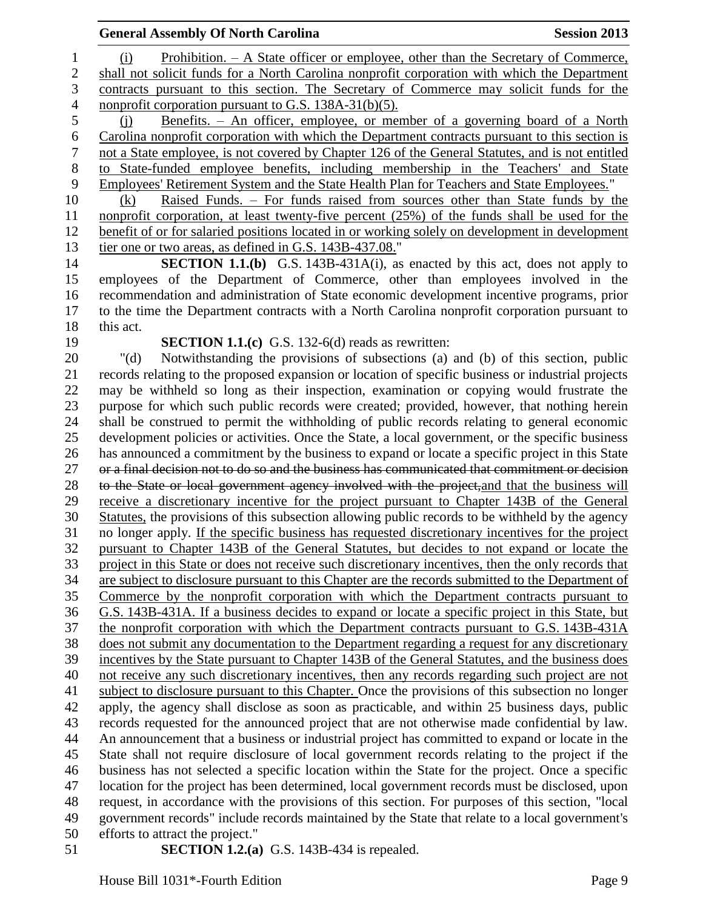| <b>General Assembly Of North Carolina</b>                                                                                                                                                         | <b>Session 2013</b> |
|---------------------------------------------------------------------------------------------------------------------------------------------------------------------------------------------------|---------------------|
| <u>Prohibition. – A State officer or employee, other than the Secretary of Commerce,</u><br>(i)                                                                                                   |                     |
| shall not solicit funds for a North Carolina nonprofit corporation with which the Department                                                                                                      |                     |
| contracts pursuant to this section. The Secretary of Commerce may solicit funds for the                                                                                                           |                     |
| nonprofit corporation pursuant to G.S. 138A-31(b)(5).                                                                                                                                             |                     |
| Benefits. - An officer, employee, or member of a governing board of a North<br>(i)                                                                                                                |                     |
| Carolina nonprofit corporation with which the Department contracts pursuant to this section is                                                                                                    |                     |
| not a State employee, is not covered by Chapter 126 of the General Statutes, and is not entitled                                                                                                  |                     |
| to State-funded employee benefits, including membership in the Teachers' and State                                                                                                                |                     |
| Employees' Retirement System and the State Health Plan for Teachers and State Employees."                                                                                                         |                     |
| <u>Raised Funds. – For funds raised from sources other than State funds by the</u><br>(k)                                                                                                         |                     |
| nonprofit corporation, at least twenty-five percent (25%) of the funds shall be used for the                                                                                                      |                     |
| benefit of or for salaried positions located in or working solely on development in development                                                                                                   |                     |
| tier one or two areas, as defined in G.S. 143B-437.08."                                                                                                                                           |                     |
| SECTION 1.1.(b) G.S. 143B-431A(i), as enacted by this act, does not apply to                                                                                                                      |                     |
| employees of the Department of Commerce, other than employees involved in the                                                                                                                     |                     |
| recommendation and administration of State economic development incentive programs, prior                                                                                                         |                     |
| to the time the Department contracts with a North Carolina nonprofit corporation pursuant to                                                                                                      |                     |
| this act.                                                                                                                                                                                         |                     |
| <b>SECTION 1.1.(c)</b> G.S. 132-6(d) reads as rewritten:                                                                                                                                          |                     |
| Notwithstanding the provisions of subsections (a) and (b) of this section, public<br>" $(d)$                                                                                                      |                     |
| records relating to the proposed expansion or location of specific business or industrial projects                                                                                                |                     |
| may be withheld so long as their inspection, examination or copying would frustrate the                                                                                                           |                     |
| purpose for which such public records were created; provided, however, that nothing herein                                                                                                        |                     |
| shall be construed to permit the withholding of public records relating to general economic                                                                                                       |                     |
| development policies or activities. Once the State, a local government, or the specific business                                                                                                  |                     |
| has announced a commitment by the business to expand or locate a specific project in this State<br>or a final decision not to do so and the business has communicated that commitment or decision |                     |
| to the State or local government agency involved with the project, and that the business will                                                                                                     |                     |
| receive a discretionary incentive for the project pursuant to Chapter 143B of the General                                                                                                         |                     |
| Statutes, the provisions of this subsection allowing public records to be withheld by the agency                                                                                                  |                     |
| no longer apply. If the specific business has requested discretionary incentives for the project                                                                                                  |                     |
| pursuant to Chapter 143B of the General Statutes, but decides to not expand or locate the                                                                                                         |                     |
| project in this State or does not receive such discretionary incentives, then the only records that                                                                                               |                     |
| are subject to disclosure pursuant to this Chapter are the records submitted to the Department of                                                                                                 |                     |
| Commerce by the nonprofit corporation with which the Department contracts pursuant to                                                                                                             |                     |
| G.S. 143B-431A. If a business decides to expand or locate a specific project in this State, but                                                                                                   |                     |
| the nonprofit corporation with which the Department contracts pursuant to G.S. 143B-431A                                                                                                          |                     |
| does not submit any documentation to the Department regarding a request for any discretionary                                                                                                     |                     |
| incentives by the State pursuant to Chapter 143B of the General Statutes, and the business does                                                                                                   |                     |
| not receive any such discretionary incentives, then any records regarding such project are not                                                                                                    |                     |
| subject to disclosure pursuant to this Chapter. Once the provisions of this subsection no longer                                                                                                  |                     |
| apply, the agency shall disclose as soon as practicable, and within 25 business days, public                                                                                                      |                     |
| records requested for the announced project that are not otherwise made confidential by law.                                                                                                      |                     |
| An announcement that a business or industrial project has committed to expand or locate in the                                                                                                    |                     |
| State shall not require disclosure of local government records relating to the project if the                                                                                                     |                     |
| business has not selected a specific location within the State for the project. Once a specific                                                                                                   |                     |
| location for the project has been determined, local government records must be disclosed, upon                                                                                                    |                     |
| request, in accordance with the provisions of this section. For purposes of this section, "local                                                                                                  |                     |
| government records" include records maintained by the State that relate to a local government's                                                                                                   |                     |
| efforts to attract the project."                                                                                                                                                                  |                     |

**SECTION 1.2.(a)** G.S. 143B-434 is repealed.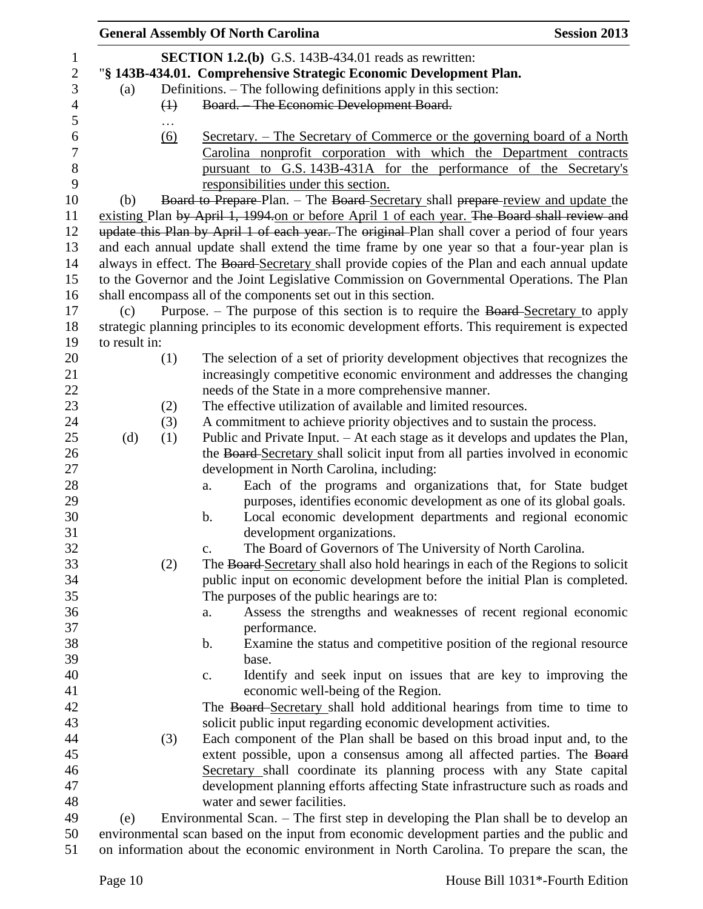|               |                   | <b>General Assembly Of North Carolina</b>                                                                                 | <b>Session 2013</b> |
|---------------|-------------------|---------------------------------------------------------------------------------------------------------------------------|---------------------|
|               |                   | <b>SECTION 1.2.(b)</b> G.S. 143B-434.01 reads as rewritten:                                                               |                     |
|               |                   | "§ 143B-434.01. Comprehensive Strategic Economic Development Plan.                                                        |                     |
| (a)           |                   | Definitions. – The following definitions apply in this section:                                                           |                     |
|               | $\leftrightarrow$ | Board. - The Economic Development Board.                                                                                  |                     |
|               | $\cdots$          |                                                                                                                           |                     |
|               | (6)               | <u>Secretary. – The Secretary of Commerce or the governing board of a North</u>                                           |                     |
|               |                   | Carolina nonprofit corporation with which the Department contracts                                                        |                     |
|               |                   | pursuant to G.S. 143B-431A for the performance of the Secretary's                                                         |                     |
|               |                   | responsibilities under this section.                                                                                      |                     |
| (b)           |                   | Board to Prepare-Plan. - The Board-Secretary shall prepare-review and update the                                          |                     |
|               |                   | existing Plan by April 1, 1994 on or before April 1 of each year. The Board shall review and                              |                     |
|               |                   | update this Plan by April 1 of each year. The original Plan shall cover a period of four years                            |                     |
|               |                   | and each annual update shall extend the time frame by one year so that a four-year plan is                                |                     |
|               |                   | always in effect. The Board Secretary shall provide copies of the Plan and each annual update                             |                     |
|               |                   | to the Governor and the Joint Legislative Commission on Governmental Operations. The Plan                                 |                     |
|               |                   | shall encompass all of the components set out in this section.                                                            |                     |
| (c)           |                   | Purpose. – The purpose of this section is to require the Board-Secretary to apply                                         |                     |
|               |                   | strategic planning principles to its economic development efforts. This requirement is expected                           |                     |
| to result in: |                   |                                                                                                                           |                     |
|               | (1)               | The selection of a set of priority development objectives that recognizes the                                             |                     |
|               |                   | increasingly competitive economic environment and addresses the changing                                                  |                     |
|               |                   | needs of the State in a more comprehensive manner.                                                                        |                     |
|               | (2)               | The effective utilization of available and limited resources.                                                             |                     |
|               |                   | A commitment to achieve priority objectives and to sustain the process.                                                   |                     |
|               | (3)               | Public and Private Input. – At each stage as it develops and updates the Plan,                                            |                     |
| (d)           | (1)               |                                                                                                                           |                     |
|               |                   | the Board-Secretary shall solicit input from all parties involved in economic                                             |                     |
|               |                   | development in North Carolina, including:                                                                                 |                     |
|               |                   | Each of the programs and organizations that, for State budget<br>a.                                                       |                     |
|               |                   | purposes, identifies economic development as one of its global goals.<br>b.                                               |                     |
|               |                   | Local economic development departments and regional economic                                                              |                     |
|               |                   | development organizations.<br>The Board of Governors of The University of North Carolina.<br>$\mathbf{c}$ .               |                     |
|               |                   | The Board-Secretary shall also hold hearings in each of the Regions to solicit                                            |                     |
|               | (2)               |                                                                                                                           |                     |
|               |                   | public input on economic development before the initial Plan is completed.<br>The purposes of the public hearings are to: |                     |
|               |                   |                                                                                                                           |                     |
|               |                   | Assess the strengths and weaknesses of recent regional economic<br>a.<br>performance.                                     |                     |
|               |                   |                                                                                                                           |                     |
|               |                   | Examine the status and competitive position of the regional resource<br>$\mathbf b$ .                                     |                     |
|               |                   | base.                                                                                                                     |                     |
|               |                   | Identify and seek input on issues that are key to improving the<br>c.                                                     |                     |
|               |                   | economic well-being of the Region.                                                                                        |                     |
|               |                   | The Board Secretary shall hold additional hearings from time to time to                                                   |                     |
|               |                   | solicit public input regarding economic development activities.                                                           |                     |
|               | (3)               | Each component of the Plan shall be based on this broad input and, to the                                                 |                     |
|               |                   | extent possible, upon a consensus among all affected parties. The Board                                                   |                     |
|               |                   | Secretary shall coordinate its planning process with any State capital                                                    |                     |
|               |                   | development planning efforts affecting State infrastructure such as roads and                                             |                     |
|               |                   | water and sewer facilities.                                                                                               |                     |
| (e)           |                   | Environmental Scan. – The first step in developing the Plan shall be to develop an                                        |                     |
|               |                   | environmental scan based on the input from economic development parties and the public and                                |                     |
|               |                   | on information about the economic environment in North Carolina. To prepare the scan, the                                 |                     |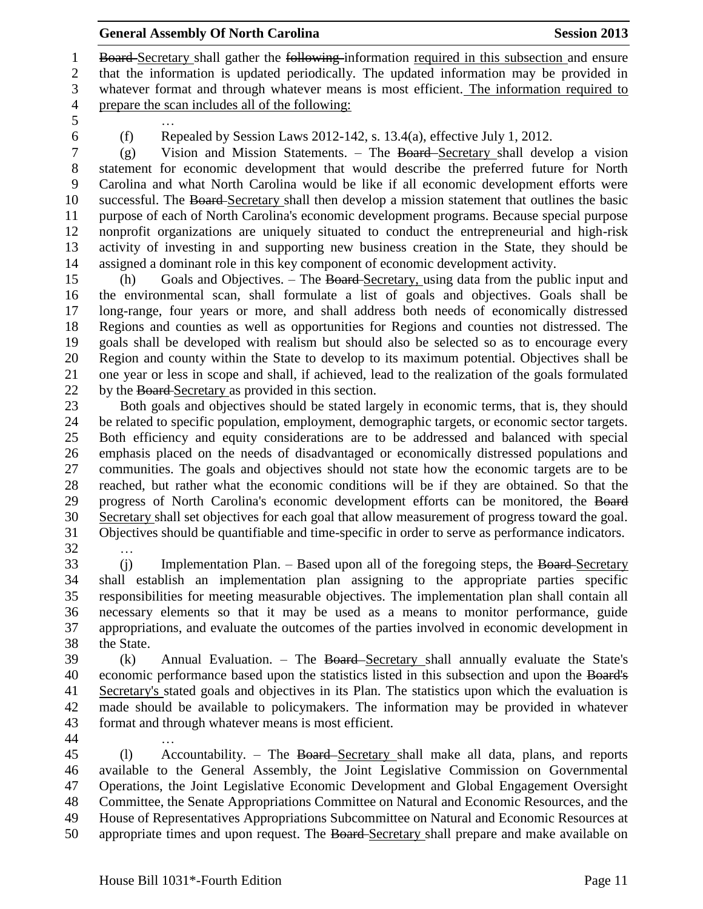1 Board-Secretary shall gather the following-information required in this subsection and ensure that the information is updated periodically. The updated information may be provided in whatever format and through whatever means is most efficient. The information required to prepare the scan includes all of the following:

…

(f) Repealed by Session Laws 2012-142, s. 13.4(a), effective July 1, 2012.

 (g) Vision and Mission Statements. – The Board Secretary shall develop a vision statement for economic development that would describe the preferred future for North Carolina and what North Carolina would be like if all economic development efforts were successful. The Board Secretary shall then develop a mission statement that outlines the basic purpose of each of North Carolina's economic development programs. Because special purpose nonprofit organizations are uniquely situated to conduct the entrepreneurial and high-risk activity of investing in and supporting new business creation in the State, they should be assigned a dominant role in this key component of economic development activity.

 (h) Goals and Objectives. – The Board Secretary, using data from the public input and the environmental scan, shall formulate a list of goals and objectives. Goals shall be long-range, four years or more, and shall address both needs of economically distressed Regions and counties as well as opportunities for Regions and counties not distressed. The goals shall be developed with realism but should also be selected so as to encourage every Region and county within the State to develop to its maximum potential. Objectives shall be one year or less in scope and shall, if achieved, lead to the realization of the goals formulated 22 by the Board-Secretary as provided in this section.

 Both goals and objectives should be stated largely in economic terms, that is, they should be related to specific population, employment, demographic targets, or economic sector targets. Both efficiency and equity considerations are to be addressed and balanced with special emphasis placed on the needs of disadvantaged or economically distressed populations and communities. The goals and objectives should not state how the economic targets are to be reached, but rather what the economic conditions will be if they are obtained. So that the 29 progress of North Carolina's economic development efforts can be monitored, the Board Secretary shall set objectives for each goal that allow measurement of progress toward the goal. Objectives should be quantifiable and time-specific in order to serve as performance indicators. …

33 (i) Implementation Plan. – Based upon all of the foregoing steps, the Board-Secretary shall establish an implementation plan assigning to the appropriate parties specific responsibilities for meeting measurable objectives. The implementation plan shall contain all necessary elements so that it may be used as a means to monitor performance, guide appropriations, and evaluate the outcomes of the parties involved in economic development in the State.

 (k) Annual Evaluation. – The Board Secretary shall annually evaluate the State's economic performance based upon the statistics listed in this subsection and upon the Board's Secretary's stated goals and objectives in its Plan. The statistics upon which the evaluation is made should be available to policymakers. The information may be provided in whatever format and through whatever means is most efficient.

…

 (l) Accountability. – The Board Secretary shall make all data, plans, and reports available to the General Assembly, the Joint Legislative Commission on Governmental Operations, the Joint Legislative Economic Development and Global Engagement Oversight Committee, the Senate Appropriations Committee on Natural and Economic Resources, and the House of Representatives Appropriations Subcommittee on Natural and Economic Resources at 50 appropriate times and upon request. The Board-Secretary shall prepare and make available on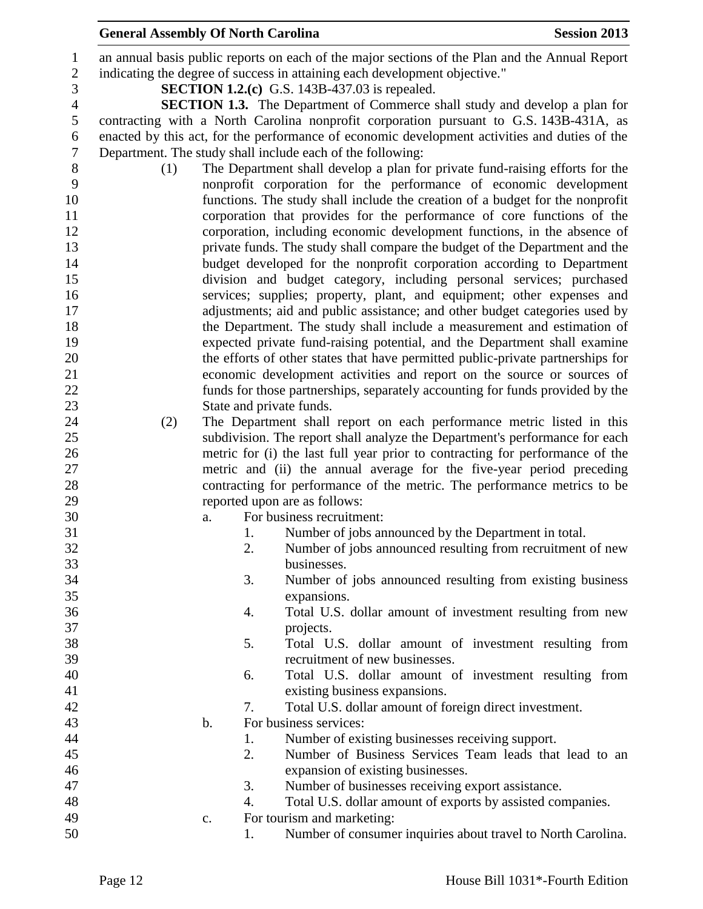## **General Assembly Of North Carolina Session 2013**

 an annual basis public reports on each of the major sections of the Plan and the Annual Report indicating the degree of success in attaining each development objective." **SECTION 1.2.(c)** G.S. 143B-437.03 is repealed. **SECTION 1.3.** The Department of Commerce shall study and develop a plan for contracting with a North Carolina nonprofit corporation pursuant to G.S. 143B-431A, as enacted by this act, for the performance of economic development activities and duties of the Department. The study shall include each of the following: (1) The Department shall develop a plan for private fund-raising efforts for the nonprofit corporation for the performance of economic development functions. The study shall include the creation of a budget for the nonprofit corporation that provides for the performance of core functions of the corporation, including economic development functions, in the absence of private funds. The study shall compare the budget of the Department and the budget developed for the nonprofit corporation according to Department division and budget category, including personal services; purchased services; supplies; property, plant, and equipment; other expenses and adjustments; aid and public assistance; and other budget categories used by the Department. The study shall include a measurement and estimation of expected private fund-raising potential, and the Department shall examine the efforts of other states that have permitted public-private partnerships for economic development activities and report on the source or sources of funds for those partnerships, separately accounting for funds provided by the State and private funds. (2) The Department shall report on each performance metric listed in this subdivision. The report shall analyze the Department's performance for each metric for (i) the last full year prior to contracting for performance of the metric and (ii) the annual average for the five-year period preceding contracting for performance of the metric. The performance metrics to be reported upon are as follows: a. For business recruitment: 1. Number of jobs announced by the Department in total. 2. Number of jobs announced resulting from recruitment of new businesses. 3. Number of jobs announced resulting from existing business expansions. 4. Total U.S. dollar amount of investment resulting from new projects. 5. Total U.S. dollar amount of investment resulting from recruitment of new businesses. 6. Total U.S. dollar amount of investment resulting from existing business expansions. 7. Total U.S. dollar amount of foreign direct investment. b. For business services: 1. Number of existing businesses receiving support. 2. Number of Business Services Team leads that lead to an expansion of existing businesses. 3. Number of businesses receiving export assistance. 4. Total U.S. dollar amount of exports by assisted companies. c. For tourism and marketing: 1. Number of consumer inquiries about travel to North Carolina.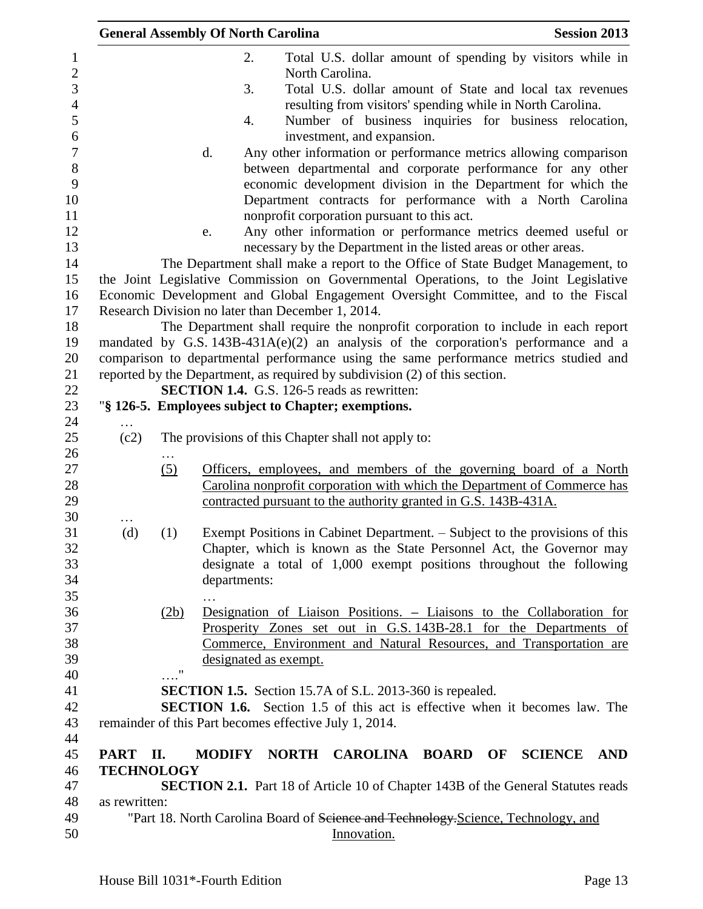|                   |                    | <b>General Assembly Of North Carolina</b> |                                                                             | <b>Session 2013</b>                                                                     |
|-------------------|--------------------|-------------------------------------------|-----------------------------------------------------------------------------|-----------------------------------------------------------------------------------------|
|                   |                    | 2.                                        |                                                                             | Total U.S. dollar amount of spending by visitors while in                               |
|                   |                    |                                           | North Carolina.                                                             |                                                                                         |
|                   |                    | 3.                                        |                                                                             | Total U.S. dollar amount of State and local tax revenues                                |
|                   |                    |                                           |                                                                             | resulting from visitors' spending while in North Carolina.                              |
|                   |                    | 4.                                        |                                                                             | Number of business inquiries for business relocation,                                   |
|                   |                    |                                           | investment, and expansion.                                                  |                                                                                         |
|                   |                    | d.                                        |                                                                             | Any other information or performance metrics allowing comparison                        |
|                   |                    |                                           |                                                                             | between departmental and corporate performance for any other                            |
|                   |                    |                                           |                                                                             | economic development division in the Department for which the                           |
|                   |                    |                                           |                                                                             | Department contracts for performance with a North Carolina                              |
|                   |                    |                                           | nonprofit corporation pursuant to this act.                                 |                                                                                         |
|                   |                    |                                           |                                                                             | Any other information or performance metrics deemed useful or                           |
|                   |                    | e.                                        |                                                                             |                                                                                         |
|                   |                    |                                           |                                                                             | necessary by the Department in the listed areas or other areas.                         |
|                   |                    |                                           |                                                                             | The Department shall make a report to the Office of State Budget Management, to         |
|                   |                    |                                           |                                                                             | the Joint Legislative Commission on Governmental Operations, to the Joint Legislative   |
|                   |                    |                                           |                                                                             | Economic Development and Global Engagement Oversight Committee, and to the Fiscal       |
|                   |                    |                                           | Research Division no later than December 1, 2014.                           |                                                                                         |
|                   |                    |                                           |                                                                             | The Department shall require the nonprofit corporation to include in each report        |
|                   |                    |                                           |                                                                             | mandated by G.S. $143B-431A(e)(2)$ an analysis of the corporation's performance and a   |
|                   |                    |                                           |                                                                             | comparison to departmental performance using the same performance metrics studied and   |
|                   |                    |                                           | reported by the Department, as required by subdivision (2) of this section. |                                                                                         |
|                   |                    |                                           | SECTION 1.4. G.S. 126-5 reads as rewritten:                                 |                                                                                         |
|                   |                    |                                           | "§ 126-5. Employees subject to Chapter; exemptions.                         |                                                                                         |
|                   |                    |                                           |                                                                             |                                                                                         |
| (c2)              |                    |                                           | The provisions of this Chapter shall not apply to:                          |                                                                                         |
|                   |                    |                                           |                                                                             |                                                                                         |
|                   | (5)                |                                           |                                                                             | Officers, employees, and members of the governing board of a North                      |
|                   |                    |                                           |                                                                             | Carolina nonprofit corporation with which the Department of Commerce has                |
|                   |                    |                                           | contracted pursuant to the authority granted in G.S. 143B-431A.             |                                                                                         |
|                   |                    |                                           |                                                                             |                                                                                         |
| (d)               | (1)                |                                           |                                                                             | Exempt Positions in Cabinet Department. – Subject to the provisions of this             |
|                   |                    |                                           |                                                                             | Chapter, which is known as the State Personnel Act, the Governor may                    |
|                   |                    |                                           |                                                                             | designate a total of 1,000 exempt positions throughout the following                    |
|                   |                    | departments:                              |                                                                             |                                                                                         |
|                   |                    |                                           |                                                                             |                                                                                         |
|                   | (2b)               |                                           |                                                                             | Designation of Liaison Positions. – Liaisons to the Collaboration for                   |
|                   |                    |                                           |                                                                             | Prosperity Zones set out in G.S. 143B-28.1 for the Departments of                       |
|                   |                    |                                           |                                                                             | Commerce, Environment and Natural Resources, and Transportation are                     |
|                   | $\pmb{\mathsf{H}}$ | designated as exempt.                     |                                                                             |                                                                                         |
|                   |                    |                                           |                                                                             |                                                                                         |
|                   |                    |                                           | <b>SECTION 1.5.</b> Section 15.7A of S.L. 2013-360 is repealed.             |                                                                                         |
|                   |                    |                                           |                                                                             | <b>SECTION 1.6.</b> Section 1.5 of this act is effective when it becomes law. The       |
|                   |                    |                                           | remainder of this Part becomes effective July 1, 2014.                      |                                                                                         |
|                   |                    |                                           |                                                                             |                                                                                         |
| <b>PART</b>       | П.                 | <b>MODIFY</b>                             | NORTH CAROLINA BOARD OF                                                     | <b>SCIENCE</b><br><b>AND</b>                                                            |
| <b>TECHNOLOGY</b> |                    |                                           |                                                                             |                                                                                         |
|                   |                    |                                           |                                                                             | <b>SECTION 2.1.</b> Part 18 of Article 10 of Chapter 143B of the General Statutes reads |
| as rewritten:     |                    |                                           |                                                                             |                                                                                         |
|                   |                    |                                           |                                                                             | "Part 18. North Carolina Board of Science and Technology-Science, Technology, and       |
|                   |                    |                                           | Innovation.                                                                 |                                                                                         |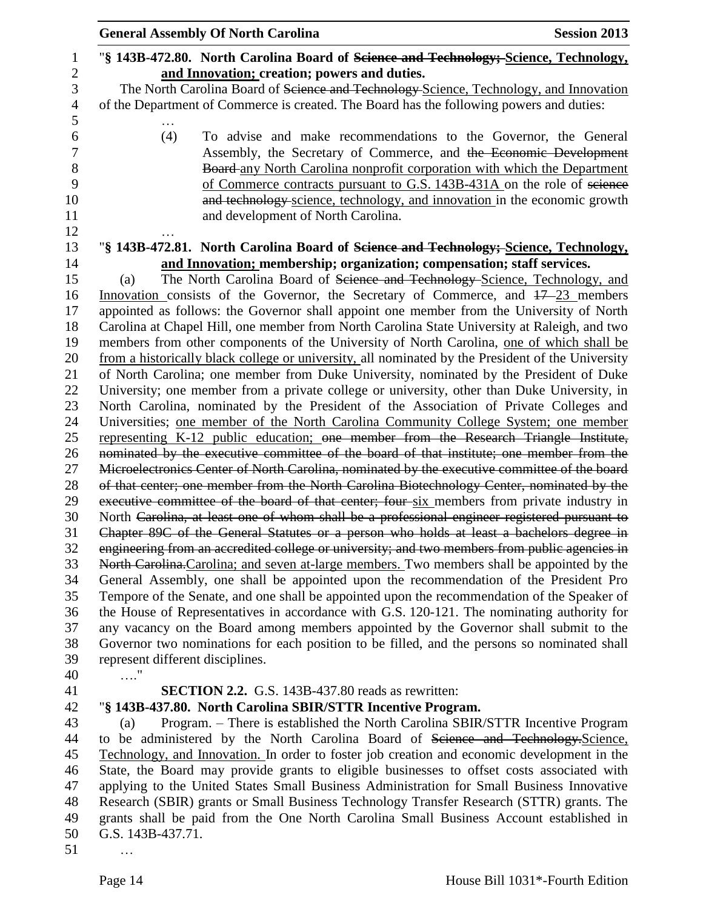|                     | <b>General Assembly Of North Carolina</b><br><b>Session 2013</b>                                                                                                                        |
|---------------------|-----------------------------------------------------------------------------------------------------------------------------------------------------------------------------------------|
| $\mathbf{1}$        | "§ 143B-472.80. North Carolina Board of Science and Technology; Science, Technology,                                                                                                    |
| $\overline{c}$      | and Innovation; creation; powers and duties.                                                                                                                                            |
| 3                   | The North Carolina Board of Science and Technology-Science, Technology, and Innovation                                                                                                  |
| $\overline{4}$<br>5 | of the Department of Commerce is created. The Board has the following powers and duties:                                                                                                |
| 6                   | (4)<br>To advise and make recommendations to the Governor, the General                                                                                                                  |
| $\boldsymbol{7}$    | Assembly, the Secretary of Commerce, and the Economic Development                                                                                                                       |
| 8                   | Board-any North Carolina nonprofit corporation with which the Department                                                                                                                |
| 9                   | of Commerce contracts pursuant to G.S. 143B-431A on the role of science                                                                                                                 |
| 10                  | and technology science, technology, and innovation in the economic growth                                                                                                               |
| 11                  | and development of North Carolina.                                                                                                                                                      |
| 12                  |                                                                                                                                                                                         |
| 13                  | "§ 143B-472.81. North Carolina Board of Science and Technology; Science, Technology,                                                                                                    |
| 14                  | and Innovation; membership; organization; compensation; staff services.                                                                                                                 |
| 15                  | The North Carolina Board of Science and Technology-Science, Technology, and<br>(a)                                                                                                      |
| 16                  | Innovation consists of the Governor, the Secretary of Commerce, and $17-23$ members                                                                                                     |
| 17                  | appointed as follows: the Governor shall appoint one member from the University of North                                                                                                |
| 18                  | Carolina at Chapel Hill, one member from North Carolina State University at Raleigh, and two                                                                                            |
| 19                  | members from other components of the University of North Carolina, one of which shall be                                                                                                |
| 20                  | from a historically black college or university, all nominated by the President of the University                                                                                       |
| 21                  | of North Carolina; one member from Duke University, nominated by the President of Duke                                                                                                  |
| 22                  | University; one member from a private college or university, other than Duke University, in                                                                                             |
| 23                  | North Carolina, nominated by the President of the Association of Private Colleges and                                                                                                   |
| 24                  | Universities; one member of the North Carolina Community College System; one member                                                                                                     |
| 25                  | representing K-12 public education; one member from the Research Triangle Institute,                                                                                                    |
| 26                  | nominated by the executive committee of the board of that institute; one member from the                                                                                                |
| 27                  | Microelectronics Center of North Carolina, nominated by the executive committee of the board                                                                                            |
| 28                  | of that center; one member from the North Carolina Biotechnology Center, nominated by the                                                                                               |
| 29                  | executive committee of the board of that center; four six members from private industry in                                                                                              |
| 30                  | North Carolina, at least one of whom shall be a professional engineer registered pursuant to                                                                                            |
| 31                  | Chapter 89C of the General Statutes or a person who holds at least a bachelors degree in                                                                                                |
| 32                  | engineering from an accredited college or university; and two members from public agencies in                                                                                           |
| 33                  | North Carolina. Carolina; and seven at-large members. Two members shall be appointed by the                                                                                             |
| 34                  | General Assembly, one shall be appointed upon the recommendation of the President Pro                                                                                                   |
| 35                  | Tempore of the Senate, and one shall be appointed upon the recommendation of the Speaker of                                                                                             |
| 36                  | the House of Representatives in accordance with G.S. 120-121. The nominating authority for                                                                                              |
| 37                  | any vacancy on the Board among members appointed by the Governor shall submit to the                                                                                                    |
| 38                  | Governor two nominations for each position to be filled, and the persons so nominated shall                                                                                             |
| 39                  | represent different disciplines.                                                                                                                                                        |
| 40                  | . "                                                                                                                                                                                     |
| 41                  | <b>SECTION 2.2.</b> G.S. 143B-437.80 reads as rewritten:                                                                                                                                |
| 42                  | "§ 143B-437.80. North Carolina SBIR/STTR Incentive Program.                                                                                                                             |
| 43                  | Program. – There is established the North Carolina SBIR/STTR Incentive Program<br>(a)                                                                                                   |
| 44                  | to be administered by the North Carolina Board of Science and Technology. Science,                                                                                                      |
| 45                  | Technology, and Innovation. In order to foster job creation and economic development in the                                                                                             |
| 46<br>47            | State, the Board may provide grants to eligible businesses to offset costs associated with<br>applying to the United States Small Business Administration for Small Business Innovative |
| 48                  | Research (SBIR) grants or Small Business Technology Transfer Research (STTR) grants. The                                                                                                |
| 49                  | grants shall be paid from the One North Carolina Small Business Account established in                                                                                                  |
| 50                  | G.S. 143B-437.71.                                                                                                                                                                       |
| 51                  |                                                                                                                                                                                         |
|                     |                                                                                                                                                                                         |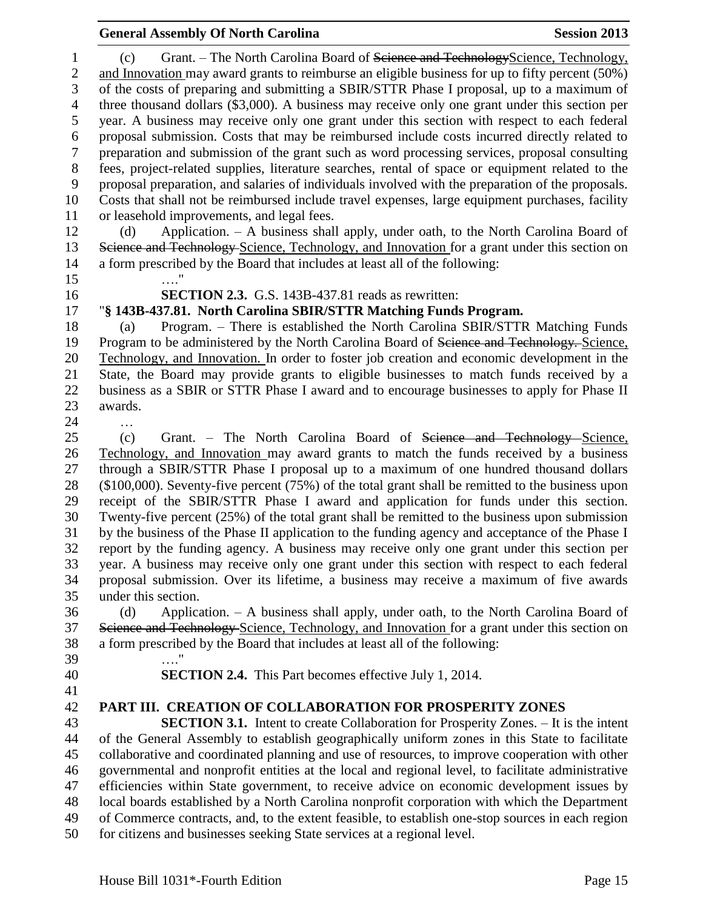# and Innovation may award grants to reimburse an eligible business for up to fifty percent (50%) of the costs of preparing and submitting a SBIR/STTR Phase I proposal, up to a maximum of three thousand dollars (\$3,000). A business may receive only one grant under this section per year. A business may receive only one grant under this section with respect to each federal proposal submission. Costs that may be reimbursed include costs incurred directly related to preparation and submission of the grant such as word processing services, proposal consulting fees, project-related supplies, literature searches, rental of space or equipment related to the proposal preparation, and salaries of individuals involved with the preparation of the proposals. Costs that shall not be reimbursed include travel expenses, large equipment purchases, facility or leasehold improvements, and legal fees. (d) Application. – A business shall apply, under oath, to the North Carolina Board of 13 Science and Technology-Science, Technology, and Innovation for a grant under this section on a form prescribed by the Board that includes at least all of the following: …." **SECTION 2.3.** G.S. 143B-437.81 reads as rewritten: "**§ 143B-437.81. North Carolina SBIR/STTR Matching Funds Program.** (a) Program. – There is established the North Carolina SBIR/STTR Matching Funds 19 Program to be administered by the North Carolina Board of <del>Science and Technology.</del> Science, Technology, and Innovation. In order to foster job creation and economic development in the State, the Board may provide grants to eligible businesses to match funds received by a business as a SBIR or STTR Phase I award and to encourage businesses to apply for Phase II awards. … (c) Grant. – The North Carolina Board of Science and Technology Science, Technology, and Innovation may award grants to match the funds received by a business through a SBIR/STTR Phase I proposal up to a maximum of one hundred thousand dollars (\$100,000). Seventy-five percent (75%) of the total grant shall be remitted to the business upon receipt of the SBIR/STTR Phase I award and application for funds under this section. Twenty-five percent (25%) of the total grant shall be remitted to the business upon submission by the business of the Phase II application to the funding agency and acceptance of the Phase I report by the funding agency. A business may receive only one grant under this section per year. A business may receive only one grant under this section with respect to each federal proposal submission. Over its lifetime, a business may receive a maximum of five awards under this section. (d) Application. – A business shall apply, under oath, to the North Carolina Board of 37 Science and Technology-Science, Technology, and Innovation for a grant under this section on a form prescribed by the Board that includes at least all of the following: …." **SECTION 2.4.** This Part becomes effective July 1, 2014. **PART III. CREATION OF COLLABORATION FOR PROSPERITY ZONES SECTION 3.1.** Intent to create Collaboration for Prosperity Zones. – It is the intent of the General Assembly to establish geographically uniform zones in this State to facilitate collaborative and coordinated planning and use of resources, to improve cooperation with other governmental and nonprofit entities at the local and regional level, to facilitate administrative efficiencies within State government, to receive advice on economic development issues by local boards established by a North Carolina nonprofit corporation with which the Department of Commerce contracts, and, to the extent feasible, to establish one-stop sources in each region for citizens and businesses seeking State services at a regional level.

**General Assembly Of North Carolina Session 2013** 

1 (c) Grant. – The North Carolina Board of Seience and TechnologyScience, Technology,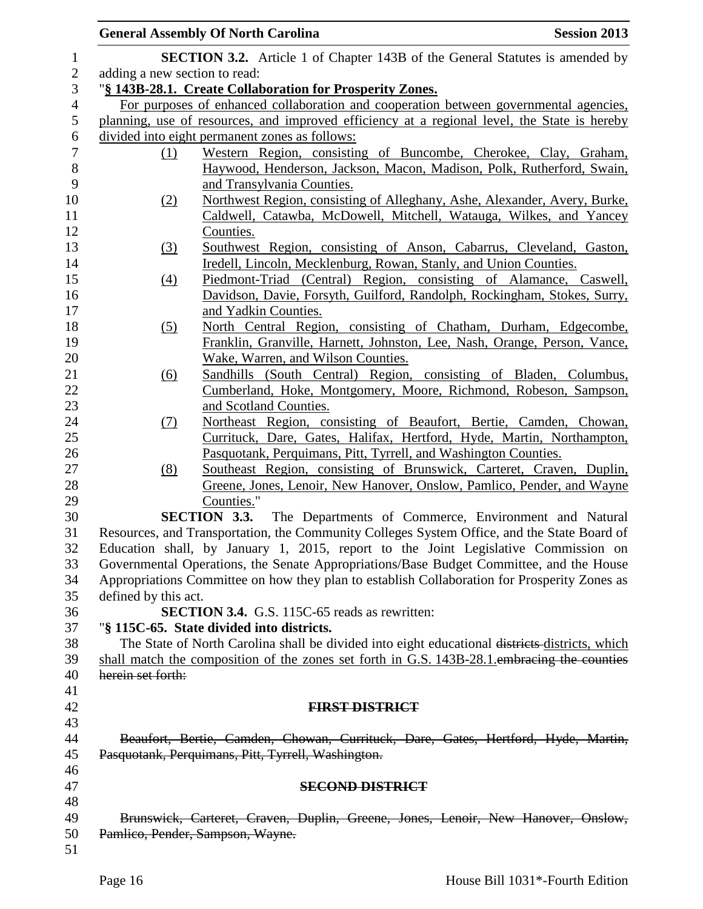|                |                               | <b>General Assembly Of North Carolina</b>                                                                                                   | <b>Session 2013</b> |  |
|----------------|-------------------------------|---------------------------------------------------------------------------------------------------------------------------------------------|---------------------|--|
| $\mathbf{1}$   |                               | <b>SECTION 3.2.</b> Article 1 of Chapter 143B of the General Statutes is amended by                                                         |                     |  |
| $\overline{2}$ | adding a new section to read: |                                                                                                                                             |                     |  |
| 3              |                               | "§ 143B-28.1. Create Collaboration for Prosperity Zones.                                                                                    |                     |  |
| $\overline{4}$ |                               | For purposes of enhanced collaboration and cooperation between governmental agencies,                                                       |                     |  |
| 5              |                               | planning, use of resources, and improved efficiency at a regional level, the State is hereby                                                |                     |  |
| 6              |                               | divided into eight permanent zones as follows:                                                                                              |                     |  |
| $\tau$         | (1)                           | Western Region, consisting of Buncombe, Cherokee, Clay, Graham,                                                                             |                     |  |
| $\,8\,$        |                               | Haywood, Henderson, Jackson, Macon, Madison, Polk, Rutherford, Swain,                                                                       |                     |  |
| 9              |                               | and Transylvania Counties.                                                                                                                  |                     |  |
| 10             | (2)                           | Northwest Region, consisting of Alleghany, Ashe, Alexander, Avery, Burke,                                                                   |                     |  |
| 11             |                               | Caldwell, Catawba, McDowell, Mitchell, Watauga, Wilkes, and Yancey                                                                          |                     |  |
| 12             |                               | Counties.                                                                                                                                   |                     |  |
| 13<br>14       | $\left(3\right)$              | Southwest Region, consisting of Anson, Cabarrus, Cleveland, Gaston,<br>Iredell, Lincoln, Mecklenburg, Rowan, Stanly, and Union Counties.    |                     |  |
| 15             |                               | Piedmont-Triad (Central) Region, consisting of Alamance, Caswell,                                                                           |                     |  |
| 16             | $\left(4\right)$              | Davidson, Davie, Forsyth, Guilford, Randolph, Rockingham, Stokes, Surry,                                                                    |                     |  |
| 17             |                               | and Yadkin Counties.                                                                                                                        |                     |  |
| 18             | (5)                           | North Central Region, consisting of Chatham, Durham, Edgecombe,                                                                             |                     |  |
| 19             |                               | Franklin, Granville, Harnett, Johnston, Lee, Nash, Orange, Person, Vance,                                                                   |                     |  |
| 20             |                               | Wake, Warren, and Wilson Counties.                                                                                                          |                     |  |
| 21             | $\underline{(6)}$             | Sandhills (South Central) Region, consisting of Bladen, Columbus,                                                                           |                     |  |
| 22             |                               | Cumberland, Hoke, Montgomery, Moore, Richmond, Robeson, Sampson,                                                                            |                     |  |
| 23             |                               | and Scotland Counties.                                                                                                                      |                     |  |
| 24             | <u>(7)</u>                    | Northeast Region, consisting of Beaufort, Bertie, Camden, Chowan,                                                                           |                     |  |
| 25             |                               | Currituck, Dare, Gates, Halifax, Hertford, Hyde, Martin, Northampton,                                                                       |                     |  |
| 26             |                               | Pasquotank, Perquimans, Pitt, Tyrrell, and Washington Counties.                                                                             |                     |  |
| 27             | (8)                           | Southeast Region, consisting of Brunswick, Carteret, Craven, Duplin,                                                                        |                     |  |
| 28             |                               | Greene, Jones, Lenoir, New Hanover, Onslow, Pamlico, Pender, and Wayne                                                                      |                     |  |
| 29             |                               | Counties."                                                                                                                                  |                     |  |
| 30<br>31       |                               | <b>SECTION 3.3.</b> The Departments of Commerce, Environment and Natural                                                                    |                     |  |
|                |                               | Resources, and Transportation, the Community Colleges System Office, and the State Board of                                                 |                     |  |
|                |                               | Education shall, by January 1, 2015, report to the Joint Legislative Commission on                                                          |                     |  |
|                |                               | Governmental Operations, the Senate Appropriations/Base Budget Committee, and the House                                                     |                     |  |
|                |                               | Appropriations Committee on how they plan to establish Collaboration for Prosperity Zones as                                                |                     |  |
|                | defined by this act.          |                                                                                                                                             |                     |  |
| 36<br>37       |                               | <b>SECTION 3.4.</b> G.S. 115C-65 reads as rewritten:                                                                                        |                     |  |
|                |                               | "§ 115C-65. State divided into districts.<br>The State of North Carolina shall be divided into eight educational districts districts, which |                     |  |
|                |                               | shall match the composition of the zones set forth in G.S. 143B-28.1 embracing the counties                                                 |                     |  |
|                | herein set forth:             |                                                                                                                                             |                     |  |
| 40             |                               |                                                                                                                                             |                     |  |
| 41<br>42       |                               | <b>FIRST DISTRICT</b>                                                                                                                       |                     |  |
| 43             |                               |                                                                                                                                             |                     |  |
|                |                               | Beaufort, Bertie, Camden, Chowan, Currituck, Dare, Gates, Hertford, Hyde, Martin,                                                           |                     |  |
| 44<br>45       |                               | Pasquotank, Perquimans, Pitt, Tyrrell, Washington.                                                                                          |                     |  |
| 46             |                               |                                                                                                                                             |                     |  |
| 47             |                               | <b>SECOND DISTRICT</b>                                                                                                                      |                     |  |
| 48             |                               |                                                                                                                                             |                     |  |
| 49             |                               | Brunswick, Carteret, Craven, Duplin, Greene, Jones, Lenoir, New Hanover, Onslow,                                                            |                     |  |
| 50             |                               | Pamlico, Pender, Sampson, Wayne.                                                                                                            |                     |  |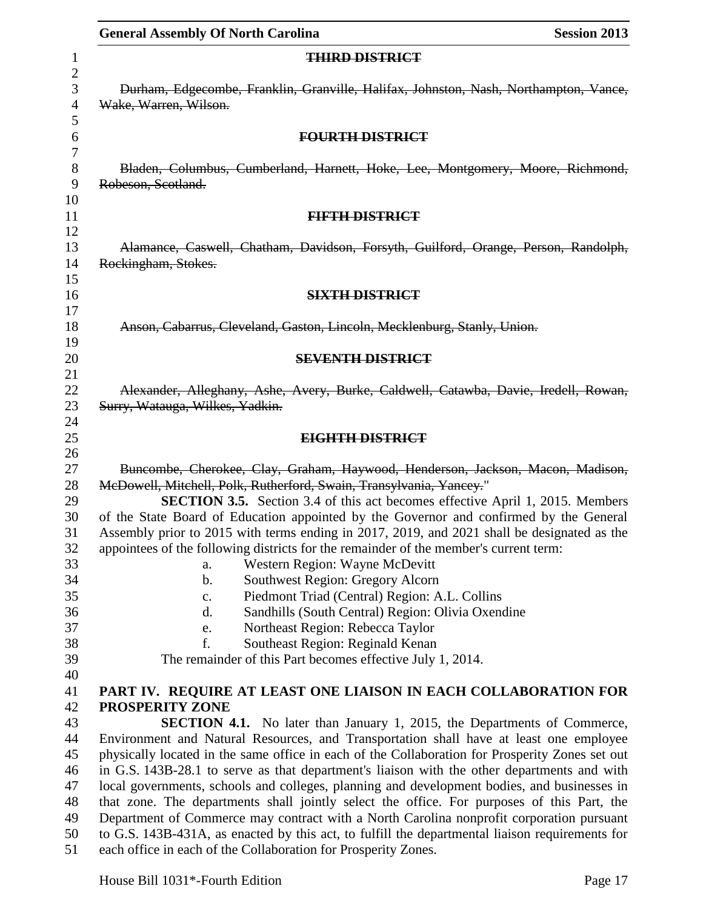|                     | <b>General Assembly Of North Carolina</b><br><b>Session 2013</b>                                                                                                                          |  |  |  |
|---------------------|-------------------------------------------------------------------------------------------------------------------------------------------------------------------------------------------|--|--|--|
| 1                   | <b>THIRD DISTRICT</b>                                                                                                                                                                     |  |  |  |
| $\overline{c}$      |                                                                                                                                                                                           |  |  |  |
| 3<br>$\overline{4}$ | Durham, Edgecombe, Franklin, Granville, Halifax, Johnston, Nash, Northampton, Vance,<br>Wake, Warren, Wilson.                                                                             |  |  |  |
| 5<br>6              | <b>FOURTH DISTRICT</b>                                                                                                                                                                    |  |  |  |
| $\boldsymbol{7}$    |                                                                                                                                                                                           |  |  |  |
| $8\,$<br>9          | Bladen, Columbus, Cumberland, Harnett, Hoke, Lee, Montgomery, Moore, Richmond,<br>Robeson, Scotland.                                                                                      |  |  |  |
| 10                  |                                                                                                                                                                                           |  |  |  |
| 11<br>12            | <b>FIFTH DISTRICT</b>                                                                                                                                                                     |  |  |  |
| 13<br>14            | Alamance, Caswell, Chatham, Davidson, Forsyth, Guilford, Orange, Person, Randolph,<br>Rockingham, Stokes.                                                                                 |  |  |  |
| 15                  |                                                                                                                                                                                           |  |  |  |
| 16<br>17            | <b>SIXTH DISTRICT</b>                                                                                                                                                                     |  |  |  |
| 18                  | Anson, Cabarrus, Cleveland, Gaston, Lincoln, Mecklenburg, Stanly, Union.                                                                                                                  |  |  |  |
| 19                  |                                                                                                                                                                                           |  |  |  |
| 20                  | <b>SEVENTH DISTRICT</b>                                                                                                                                                                   |  |  |  |
| 21                  |                                                                                                                                                                                           |  |  |  |
| 22                  | Alexander, Alleghany, Ashe, Avery, Burke, Caldwell, Catawba, Davie, Iredell, Rowan,                                                                                                       |  |  |  |
| 23                  | Surry, Watauga, Wilkes, Yadkin.                                                                                                                                                           |  |  |  |
| 24                  |                                                                                                                                                                                           |  |  |  |
| 25                  | EIGHTH DISTRICT                                                                                                                                                                           |  |  |  |
| 26<br>27            | Buncombe, Cherokee, Clay, Graham, Haywood, Henderson, Jackson, Macon, Madison,                                                                                                            |  |  |  |
| 28                  | McDowell, Mitchell, Polk, Rutherford, Swain, Transylvania, Yancey."                                                                                                                       |  |  |  |
| 29                  | <b>SECTION 3.5.</b> Section 3.4 of this act becomes effective April 1, 2015. Members                                                                                                      |  |  |  |
| 30                  | of the State Board of Education appointed by the Governor and confirmed by the General                                                                                                    |  |  |  |
| 31                  | Assembly prior to 2015 with terms ending in 2017, 2019, and 2021 shall be designated as the                                                                                               |  |  |  |
| 32                  | appointees of the following districts for the remainder of the member's current term:                                                                                                     |  |  |  |
| 33                  | Western Region: Wayne McDevitt<br>a.                                                                                                                                                      |  |  |  |
| 34                  | Southwest Region: Gregory Alcorn<br>$\mathbf b$ .                                                                                                                                         |  |  |  |
| 35                  | Piedmont Triad (Central) Region: A.L. Collins<br>c.                                                                                                                                       |  |  |  |
| 36                  | Sandhills (South Central) Region: Olivia Oxendine<br>d.                                                                                                                                   |  |  |  |
| 37                  | Northeast Region: Rebecca Taylor<br>e.                                                                                                                                                    |  |  |  |
| 38                  | f.<br>Southeast Region: Reginald Kenan                                                                                                                                                    |  |  |  |
| 39                  | The remainder of this Part becomes effective July 1, 2014.                                                                                                                                |  |  |  |
| 40                  |                                                                                                                                                                                           |  |  |  |
| 41                  | PART IV. REQUIRE AT LEAST ONE LIAISON IN EACH COLLABORATION FOR                                                                                                                           |  |  |  |
| 42                  | PROSPERITY ZONE                                                                                                                                                                           |  |  |  |
| 43                  | <b>SECTION 4.1.</b> No later than January 1, 2015, the Departments of Commerce,                                                                                                           |  |  |  |
| 44<br>45            | Environment and Natural Resources, and Transportation shall have at least one employee<br>physically located in the same office in each of the Collaboration for Prosperity Zones set out |  |  |  |
| 46                  | in G.S. 143B-28.1 to serve as that department's liaison with the other departments and with                                                                                               |  |  |  |
| 47                  | local governments, schools and colleges, planning and development bodies, and businesses in                                                                                               |  |  |  |
| 48                  | that zone. The departments shall jointly select the office. For purposes of this Part, the                                                                                                |  |  |  |
| 49                  | Department of Commerce may contract with a North Carolina nonprofit corporation pursuant                                                                                                  |  |  |  |
| 50                  | to G.S. 143B-431A, as enacted by this act, to fulfill the departmental liaison requirements for                                                                                           |  |  |  |
| 51                  | each office in each of the Collaboration for Prosperity Zones.                                                                                                                            |  |  |  |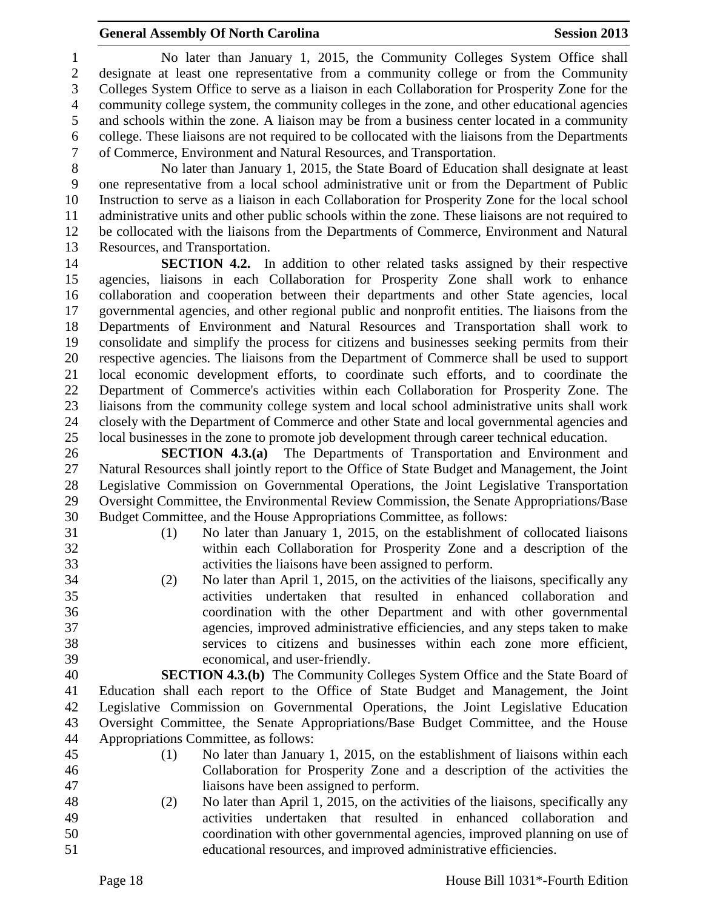## **General Assembly Of North Carolina Session 2013**

 No later than January 1, 2015, the Community Colleges System Office shall designate at least one representative from a community college or from the Community Colleges System Office to serve as a liaison in each Collaboration for Prosperity Zone for the community college system, the community colleges in the zone, and other educational agencies and schools within the zone. A liaison may be from a business center located in a community 6 college. These liaisons are not required to be collocated with the liaisons from the Departments<br>
6 Commerce, Environment and Natural Resources, and Transportation. of Commerce, Environment and Natural Resources, and Transportation.

 No later than January 1, 2015, the State Board of Education shall designate at least one representative from a local school administrative unit or from the Department of Public Instruction to serve as a liaison in each Collaboration for Prosperity Zone for the local school administrative units and other public schools within the zone. These liaisons are not required to be collocated with the liaisons from the Departments of Commerce, Environment and Natural Resources, and Transportation.

 **SECTION 4.2.** In addition to other related tasks assigned by their respective agencies, liaisons in each Collaboration for Prosperity Zone shall work to enhance collaboration and cooperation between their departments and other State agencies, local governmental agencies, and other regional public and nonprofit entities. The liaisons from the Departments of Environment and Natural Resources and Transportation shall work to consolidate and simplify the process for citizens and businesses seeking permits from their respective agencies. The liaisons from the Department of Commerce shall be used to support local economic development efforts, to coordinate such efforts, and to coordinate the Department of Commerce's activities within each Collaboration for Prosperity Zone. The liaisons from the community college system and local school administrative units shall work closely with the Department of Commerce and other State and local governmental agencies and local businesses in the zone to promote job development through career technical education.

 **SECTION 4.3.(a)** The Departments of Transportation and Environment and Natural Resources shall jointly report to the Office of State Budget and Management, the Joint Legislative Commission on Governmental Operations, the Joint Legislative Transportation Oversight Committee, the Environmental Review Commission, the Senate Appropriations/Base Budget Committee, and the House Appropriations Committee, as follows:

- 
- (1) No later than January 1, 2015, on the establishment of collocated liaisons within each Collaboration for Prosperity Zone and a description of the activities the liaisons have been assigned to perform.
- (2) No later than April 1, 2015, on the activities of the liaisons, specifically any activities undertaken that resulted in enhanced collaboration and coordination with the other Department and with other governmental agencies, improved administrative efficiencies, and any steps taken to make services to citizens and businesses within each zone more efficient, economical, and user-friendly.

 **SECTION 4.3.(b)** The Community Colleges System Office and the State Board of Education shall each report to the Office of State Budget and Management, the Joint Legislative Commission on Governmental Operations, the Joint Legislative Education Oversight Committee, the Senate Appropriations/Base Budget Committee, and the House Appropriations Committee, as follows:

- 
- 
- (1) No later than January 1, 2015, on the establishment of liaisons within each Collaboration for Prosperity Zone and a description of the activities the liaisons have been assigned to perform.
- (2) No later than April 1, 2015, on the activities of the liaisons, specifically any activities undertaken that resulted in enhanced collaboration and coordination with other governmental agencies, improved planning on use of educational resources, and improved administrative efficiencies.